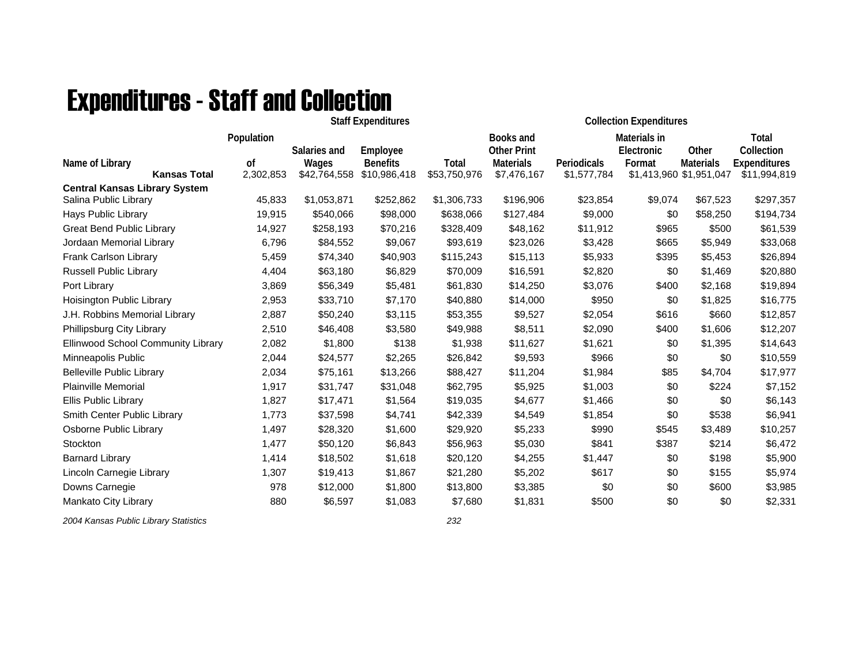## Expenditures - Staff and Collection

|                                             |                                  |                 |                                           | <b>Collection Expenditures</b>  |             |            |                             |                                                                                                                                                                                                                                                                                                                       |
|---------------------------------------------|----------------------------------|-----------------|-------------------------------------------|---------------------------------|-------------|------------|-----------------------------|-----------------------------------------------------------------------------------------------------------------------------------------------------------------------------------------------------------------------------------------------------------------------------------------------------------------------|
| Population                                  | Salaries and                     | Employee        |                                           | Books and<br><b>Other Print</b> |             | Electronic | Other                       | Total<br>Collection                                                                                                                                                                                                                                                                                                   |
| 0f                                          | Wages                            | <b>Benefits</b> | Total                                     | <b>Materials</b>                | Periodicals | Format     |                             | Expenditures                                                                                                                                                                                                                                                                                                          |
|                                             |                                  |                 |                                           |                                 |             |            |                             | \$11,994,819                                                                                                                                                                                                                                                                                                          |
| 45,833                                      | \$1,053,871                      | \$252,862       | \$1,306,733                               | \$196,906                       | \$23,854    |            |                             | \$297,357                                                                                                                                                                                                                                                                                                             |
| 19,915                                      | \$540,066                        | \$98,000        | \$638,066                                 | \$127,484                       | \$9,000     | \$0        |                             | \$194,734                                                                                                                                                                                                                                                                                                             |
| 14,927                                      | \$258,193                        | \$70,216        | \$328,409                                 | \$48,162                        | \$11,912    |            | \$500                       | \$61,539                                                                                                                                                                                                                                                                                                              |
| 6,796                                       | \$84,552                         | \$9,067         | \$93,619                                  | \$23,026                        | \$3,428     |            | \$5,949                     | \$33,068                                                                                                                                                                                                                                                                                                              |
| 5,459                                       | \$74,340                         | \$40,903        | \$115,243                                 | \$15,113                        | \$5,933     |            | \$5,453                     | \$26,894                                                                                                                                                                                                                                                                                                              |
| 4,404                                       | \$63,180                         | \$6,829         | \$70,009                                  | \$16,591                        | \$2,820     |            | \$1,469                     | \$20,880                                                                                                                                                                                                                                                                                                              |
| 3,869                                       | \$56,349                         | \$5,481         | \$61,830                                  | \$14,250                        | \$3,076     |            | \$2,168                     | \$19,894                                                                                                                                                                                                                                                                                                              |
| 2,953                                       | \$33,710                         | \$7,170         | \$40,880                                  | \$14,000                        | \$950       |            | \$1,825                     | \$16,775                                                                                                                                                                                                                                                                                                              |
| 2,887                                       | \$50,240                         | \$3,115         | \$53,355                                  | \$9,527                         | \$2,054     |            |                             | \$12,857                                                                                                                                                                                                                                                                                                              |
| 2,510                                       | \$46,408                         | \$3,580         | \$49,988                                  | \$8,511                         | \$2,090     |            | \$1,606                     | \$12,207                                                                                                                                                                                                                                                                                                              |
| Ellinwood School Community Library<br>2,082 | \$1,800                          | \$138           | \$1,938                                   | \$11,627                        | \$1,621     |            |                             | \$14,643                                                                                                                                                                                                                                                                                                              |
| 2,044                                       | \$24,577                         | \$2,265         | \$26,842                                  | \$9,593                         | \$966       |            |                             | \$10,559                                                                                                                                                                                                                                                                                                              |
| 2,034                                       | \$75,161                         | \$13,266        | \$88,427                                  | \$11,204                        | \$1,984     |            |                             | \$17,977                                                                                                                                                                                                                                                                                                              |
| 1,917                                       | \$31,747                         | \$31,048        | \$62,795                                  | \$5,925                         | \$1,003     |            |                             | \$7,152                                                                                                                                                                                                                                                                                                               |
| 1,827                                       | \$17,471                         | \$1,564         | \$19,035                                  | \$4,677                         | \$1,466     |            | \$0                         | \$6,143                                                                                                                                                                                                                                                                                                               |
| 1,773                                       | \$37,598                         | \$4,741         | \$42,339                                  | \$4,549                         | \$1,854     |            | \$538                       | \$6,941                                                                                                                                                                                                                                                                                                               |
| 1,497                                       | \$28,320                         | \$1,600         | \$29,920                                  | \$5,233                         | \$990       |            | \$3,489                     | \$10,257                                                                                                                                                                                                                                                                                                              |
| 1,477                                       | \$50,120                         | \$6,843         | \$56,963                                  | \$5,030                         | \$841       |            |                             | \$6,472                                                                                                                                                                                                                                                                                                               |
| 1,414                                       | \$18,502                         | \$1,618         | \$20,120                                  | \$4,255                         | \$1,447     |            |                             | \$5,900                                                                                                                                                                                                                                                                                                               |
| 1,307                                       | \$19,413                         | \$1,867         | \$21,280                                  | \$5,202                         | \$617       |            | \$155                       | \$5,974                                                                                                                                                                                                                                                                                                               |
| 978                                         | \$12,000                         | \$1,800         | \$13,800                                  | \$3,385                         | \$0         |            |                             | \$3,985                                                                                                                                                                                                                                                                                                               |
| 880                                         | \$6,597                          | \$1,083         | \$7,680                                   | \$1,831                         | \$500       |            | \$0                         | \$2,331                                                                                                                                                                                                                                                                                                               |
|                                             | <b>Kansas Total</b><br>2,302,853 | \$42,764,558    | <b>Staff Expenditures</b><br>\$10,986,418 | \$53,750,976                    | \$7,476,167 |            | Materials in<br>\$1,577,784 | <b>Materials</b><br>\$1,413,960 \$1,951,047<br>\$67,523<br>\$9,074<br>\$58,250<br>\$965<br>\$665<br>\$395<br>\$0<br>\$400<br>\$0<br>\$616<br>\$660<br>\$400<br>\$0<br>\$1,395<br>\$0<br>\$0<br>\$85<br>\$4,704<br>\$0<br>\$224<br>\$0<br>\$0<br>\$545<br>\$387<br>\$214<br>\$0<br>\$198<br>\$0<br>\$0<br>\$600<br>\$0 |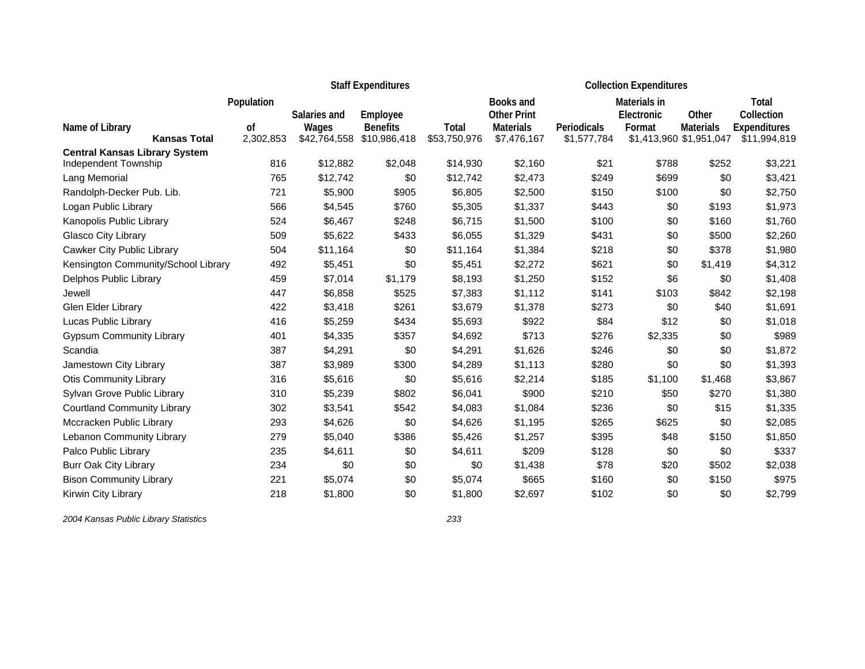|                                        |                 |                       | <b>Staff Expenditures</b>       |                              | <b>Collection Expenditures</b>  |                            |              |                                             |                                     |
|----------------------------------------|-----------------|-----------------------|---------------------------------|------------------------------|---------------------------------|----------------------------|--------------|---------------------------------------------|-------------------------------------|
|                                        | Population      |                       |                                 |                              | Books and                       |                            | Materials in |                                             | Total                               |
|                                        |                 | Salaries and          | Employee                        |                              | <b>Other Print</b>              |                            | Electronic   | Other                                       | Collection                          |
| Name of Library<br><b>Kansas Total</b> | οf<br>2,302,853 | Wages<br>\$42,764,558 | <b>Benefits</b><br>\$10,986,418 | <b>Total</b><br>\$53,750,976 | <b>Materials</b><br>\$7,476,167 | Periodicals<br>\$1,577,784 | Format       | <b>Materials</b><br>\$1,413,960 \$1,951,047 | <b>Expenditures</b><br>\$11,994,819 |
| <b>Central Kansas Library System</b>   |                 |                       |                                 |                              |                                 |                            |              |                                             |                                     |
| Independent Township                   | 816             | \$12,882              | \$2,048                         | \$14,930                     | \$2,160                         | \$21                       | \$788        | \$252                                       | \$3,221                             |
| Lang Memorial                          | 765             | \$12,742              | \$0                             | \$12,742                     | \$2,473                         | \$249                      | \$699        | \$0                                         | \$3,421                             |
| Randolph-Decker Pub. Lib.              | 721             | \$5,900               | \$905                           | \$6,805                      | \$2,500                         | \$150                      | \$100        | \$0                                         | \$2,750                             |
| Logan Public Library                   | 566             | \$4,545               | \$760                           | \$5,305                      | \$1,337                         | \$443                      | \$0          | \$193                                       | \$1,973                             |
| Kanopolis Public Library               | 524             | \$6,467               | \$248                           | \$6,715                      | \$1,500                         | \$100                      | \$0          | \$160                                       | \$1,760                             |
| Glasco City Library                    | 509             | \$5,622               | \$433                           | \$6,055                      | \$1,329                         | \$431                      | \$0          | \$500                                       | \$2,260                             |
| Cawker City Public Library             | 504             | \$11,164              | \$0                             | \$11,164                     | \$1,384                         | \$218                      | \$0          | \$378                                       | \$1,980                             |
| Kensington Community/School Library    | 492             | \$5,451               | \$0                             | \$5,451                      | \$2,272                         | \$621                      | \$0          | \$1,419                                     | \$4,312                             |
| Delphos Public Library                 | 459             | \$7,014               | \$1,179                         | \$8,193                      | \$1,250                         | \$152                      | \$6          | \$0                                         | \$1,408                             |
| Jewell                                 | 447             | \$6,858               | \$525                           | \$7,383                      | \$1,112                         | \$141                      | \$103        | \$842                                       | \$2,198                             |
| Glen Elder Library                     | 422             | \$3,418               | \$261                           | \$3,679                      | \$1,378                         | \$273                      | \$0          | \$40                                        | \$1,691                             |
| Lucas Public Library                   | 416             | \$5,259               | \$434                           | \$5,693                      | \$922                           | \$84                       | \$12         | \$0                                         | \$1,018                             |
| <b>Gypsum Community Library</b>        | 401             | \$4,335               | \$357                           | \$4,692                      | \$713                           | \$276                      | \$2,335      | \$0                                         | \$989                               |
| Scandia                                | 387             | \$4,291               | \$0                             | \$4,291                      | \$1,626                         | \$246                      | \$0          | \$0                                         | \$1,872                             |
| Jamestown City Library                 | 387             | \$3,989               | \$300                           | \$4,289                      | \$1,113                         | \$280                      | \$0          | \$0                                         | \$1,393                             |
| <b>Otis Community Library</b>          | 316             | \$5,616               | \$0                             | \$5,616                      | \$2,214                         | \$185                      | \$1,100      | \$1,468                                     | \$3,867                             |
| Sylvan Grove Public Library            | 310             | \$5,239               | \$802                           | \$6,041                      | \$900                           | \$210                      | \$50         | \$270                                       | \$1,380                             |
| <b>Courtland Community Library</b>     | 302             | \$3,541               | \$542                           | \$4,083                      | \$1,084                         | \$236                      | \$0          | \$15                                        | \$1,335                             |
| Mccracken Public Library               | 293             | \$4,626               | \$0                             | \$4,626                      | \$1,195                         | \$265                      | \$625        | \$0                                         | \$2,085                             |
| Lebanon Community Library              | 279             | \$5,040               | \$386                           | \$5,426                      | \$1,257                         | \$395                      | \$48         | \$150                                       | \$1,850                             |
| Palco Public Library                   | 235             | \$4,611               | \$0                             | \$4,611                      | \$209                           | \$128                      | \$0          | \$0                                         | \$337                               |
| <b>Burr Oak City Library</b>           | 234             | \$0                   | \$0                             | \$0                          | \$1,438                         | \$78                       | \$20         | \$502                                       | \$2,038                             |
| <b>Bison Community Library</b>         | 221             | \$5,074               | \$0                             | \$5,074                      | \$665                           | \$160                      | \$0          | \$150                                       | \$975                               |
| Kirwin City Library                    | 218             | \$1,800               | \$0                             | \$1,800                      | \$2,697                         | \$102                      | \$0          | \$0                                         | \$2,799                             |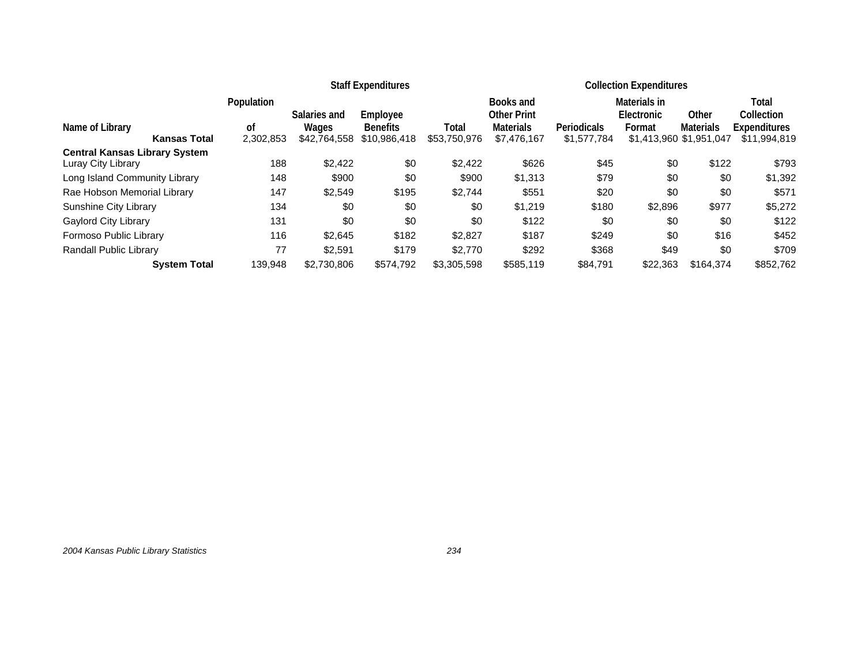|                                      |            |              | <b>Staff Expenditures</b> |              | <b>Collection Expenditures</b>  |                    |                            |                         |                     |
|--------------------------------------|------------|--------------|---------------------------|--------------|---------------------------------|--------------------|----------------------------|-------------------------|---------------------|
|                                      | Population | Salaries and | Employee                  |              | Books and<br><b>Other Print</b> |                    | Materials in<br>Electronic | Other                   | Total<br>Collection |
| Name of Library                      | 0f         | Wages        | <b>Benefits</b>           | Total        | Materials                       | <b>Periodicals</b> | Format                     | <b>Materials</b>        | <b>Expenditures</b> |
| <b>Kansas Total</b>                  | 2,302,853  | \$42,764,558 | \$10,986,418              | \$53,750,976 | \$7,476,167                     | \$1,577,784        |                            | \$1,413,960 \$1,951,047 | \$11,994,819        |
| <b>Central Kansas Library System</b> |            |              |                           |              |                                 |                    |                            |                         |                     |
| Luray City Library                   | 188        | \$2.422      | \$0                       | \$2,422      | \$626                           | \$45               | \$0                        | \$122                   | \$793               |
| Long Island Community Library        | 148        | \$900        | \$0                       | \$900        | \$1.313                         | \$79               | \$0                        | \$0                     | \$1,392             |
| Rae Hobson Memorial Library          | 147        | \$2,549      | \$195                     | \$2,744      | \$551                           | \$20               | \$0                        | \$0                     | \$571               |
| Sunshine City Library                | 134        | \$0          | \$0                       | \$0          | \$1,219                         | \$180              | \$2,896                    | \$977                   | \$5,272             |
| Gaylord City Library                 | 131        | \$0          | \$0                       | \$0          | \$122                           | \$0                | \$0                        | \$0                     | \$122               |
| Formoso Public Library               | 116        | \$2.645      | \$182                     | \$2,827      | \$187                           | \$249              | \$0                        | \$16                    | \$452               |
| Randall Public Library               | 77         | \$2,591      | \$179                     | \$2,770      | \$292                           | \$368              | \$49                       | \$0                     | \$709               |
| <b>System Total</b>                  | 139.948    | \$2,730,806  | \$574.792                 | \$3,305,598  | \$585,119                       | \$84,791           | \$22,363                   | \$164.374               | \$852,762           |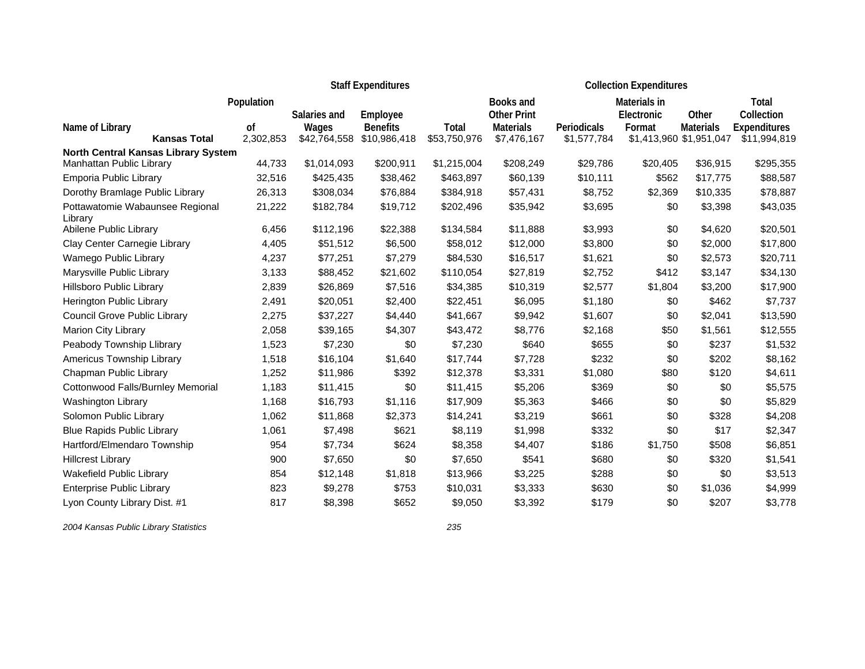|                                                                   |               |              | <b>Staff Expenditures</b> |              | <b>Collection Expenditures</b> |             |              |                         |                     |
|-------------------------------------------------------------------|---------------|--------------|---------------------------|--------------|--------------------------------|-------------|--------------|-------------------------|---------------------|
|                                                                   | Population    |              |                           |              | Books and                      |             | Materials in |                         | Total               |
|                                                                   |               | Salaries and | Employee                  |              | <b>Other Print</b>             |             | Electronic   | Other                   | Collection          |
| Name of Library                                                   | <sub>of</sub> | Wages        | <b>Benefits</b>           | Total        | <b>Materials</b>               | Periodicals | Format       | <b>Materials</b>        | <b>Expenditures</b> |
| <b>Kansas Total</b><br><b>North Central Kansas Library System</b> | 2,302,853     | \$42,764,558 | \$10,986,418              | \$53,750,976 | \$7,476,167                    | \$1,577,784 |              | \$1,413,960 \$1,951,047 | \$11,994,819        |
| Manhattan Public Library                                          | 44,733        | \$1,014,093  | \$200,911                 | \$1,215,004  | \$208,249                      | \$29,786    | \$20,405     | \$36,915                | \$295,355           |
| Emporia Public Library                                            | 32,516        | \$425,435    | \$38,462                  | \$463,897    | \$60,139                       | \$10,111    | \$562        | \$17,775                | \$88,587            |
| Dorothy Bramlage Public Library                                   | 26,313        | \$308,034    | \$76,884                  | \$384,918    | \$57,431                       | \$8,752     | \$2,369      | \$10,335                | \$78,887            |
| Pottawatomie Wabaunsee Regional<br>Library                        | 21,222        | \$182,784    | \$19,712                  | \$202,496    | \$35,942                       | \$3,695     | \$0          | \$3,398                 | \$43,035            |
| Abilene Public Library                                            | 6,456         | \$112,196    | \$22,388                  | \$134,584    | \$11,888                       | \$3,993     | \$0          | \$4,620                 | \$20,501            |
| Clay Center Carnegie Library                                      | 4,405         | \$51,512     | \$6,500                   | \$58,012     | \$12,000                       | \$3,800     | \$0          | \$2,000                 | \$17,800            |
| Wamego Public Library                                             | 4,237         | \$77,251     | \$7,279                   | \$84,530     | \$16,517                       | \$1,621     | \$0          | \$2,573                 | \$20,711            |
| Marysville Public Library                                         | 3,133         | \$88,452     | \$21,602                  | \$110,054    | \$27,819                       | \$2,752     | \$412        | \$3,147                 | \$34,130            |
| Hillsboro Public Library                                          | 2,839         | \$26,869     | \$7,516                   | \$34,385     | \$10,319                       | \$2,577     | \$1,804      | \$3,200                 | \$17,900            |
| Herington Public Library                                          | 2,491         | \$20,051     | \$2,400                   | \$22,451     | \$6,095                        | \$1,180     | \$0          | \$462                   | \$7,737             |
| <b>Council Grove Public Library</b>                               | 2,275         | \$37,227     | \$4,440                   | \$41,667     | \$9,942                        | \$1,607     | \$0          | \$2,041                 | \$13,590            |
| Marion City Library                                               | 2,058         | \$39,165     | \$4,307                   | \$43,472     | \$8,776                        | \$2,168     | \$50         | \$1,561                 | \$12,555            |
| Peabody Township Llibrary                                         | 1,523         | \$7,230      | \$0                       | \$7,230      | \$640                          | \$655       | \$0          | \$237                   | \$1,532             |
| Americus Township Library                                         | 1,518         | \$16,104     | \$1,640                   | \$17,744     | \$7,728                        | \$232       | \$0          | \$202                   | \$8,162             |
| Chapman Public Library                                            | 1,252         | \$11,986     | \$392                     | \$12,378     | \$3,331                        | \$1,080     | \$80         | \$120                   | \$4,611             |
| Cottonwood Falls/Burnley Memorial                                 | 1,183         | \$11,415     | \$0                       | \$11,415     | \$5,206                        | \$369       | \$0          | \$0                     | \$5,575             |
| Washington Library                                                | 1,168         | \$16,793     | \$1,116                   | \$17,909     | \$5,363                        | \$466       | \$0          | \$0                     | \$5,829             |
| Solomon Public Library                                            | 1,062         | \$11,868     | \$2,373                   | \$14,241     | \$3,219                        | \$661       | \$0          | \$328                   | \$4,208             |
| <b>Blue Rapids Public Library</b>                                 | 1,061         | \$7,498      | \$621                     | \$8,119      | \$1,998                        | \$332       | \$0          | \$17                    | \$2,347             |
| Hartford/Elmendaro Township                                       | 954           | \$7,734      | \$624                     | \$8,358      | \$4,407                        | \$186       | \$1,750      | \$508                   | \$6,851             |
| <b>Hillcrest Library</b>                                          | 900           | \$7,650      | \$0                       | \$7,650      | \$541                          | \$680       | \$0          | \$320                   | \$1,541             |
| Wakefield Public Library                                          | 854           | \$12,148     | \$1,818                   | \$13,966     | \$3,225                        | \$288       | \$0          | \$0                     | \$3,513             |
| <b>Enterprise Public Library</b>                                  | 823           | \$9,278      | \$753                     | \$10,031     | \$3,333                        | \$630       | \$0          | \$1,036                 | \$4,999             |
| Lyon County Library Dist. #1                                      | 817           | \$8,398      | \$652                     | \$9,050      | \$3,392                        | \$179       | \$0          | \$207                   | \$3,778             |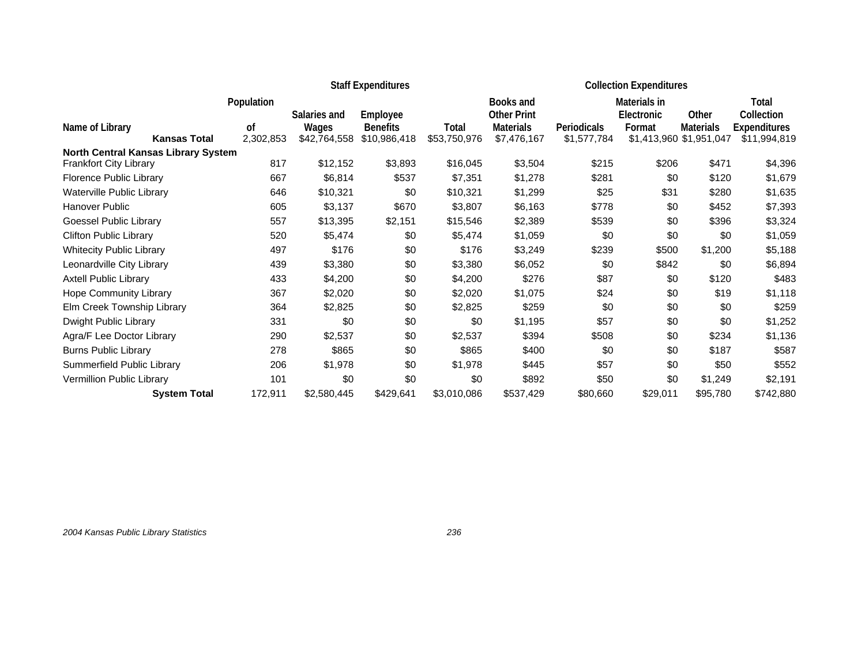|                                            |                     |            |              | <b>Staff Expenditures</b> |              | <b>Collection Expenditures</b> |             |                   |                         |                     |
|--------------------------------------------|---------------------|------------|--------------|---------------------------|--------------|--------------------------------|-------------|-------------------|-------------------------|---------------------|
|                                            |                     | Population |              |                           |              | Books and                      |             | Materials in      |                         | Total               |
|                                            |                     |            | Salaries and | Employee                  |              | <b>Other Print</b>             |             | <b>Electronic</b> | Other                   | Collection          |
| Name of Library                            |                     | οf         | Wages        | <b>Benefits</b>           | Total        | <b>Materials</b>               | Periodicals | Format            | <b>Materials</b>        | <b>Expenditures</b> |
|                                            | <b>Kansas Total</b> | 2,302,853  | \$42,764,558 | \$10,986,418              | \$53,750,976 | \$7,476,167                    | \$1,577,784 |                   | \$1,413,960 \$1,951,047 | \$11,994,819        |
| <b>North Central Kansas Library System</b> |                     |            |              |                           |              |                                |             |                   |                         |                     |
| Frankfort City Library                     |                     | 817        | \$12,152     | \$3,893                   | \$16,045     | \$3,504                        | \$215       | \$206             | \$471                   | \$4,396             |
| Florence Public Library                    |                     | 667        | \$6,814      | \$537                     | \$7,351      | \$1,278                        | \$281       | \$0               | \$120                   | \$1,679             |
| Waterville Public Library                  |                     | 646        | \$10,321     | \$0                       | \$10,321     | \$1,299                        | \$25        | \$31              | \$280                   | \$1,635             |
| Hanover Public                             |                     | 605        | \$3,137      | \$670                     | \$3,807      | \$6,163                        | \$778       | \$0               | \$452                   | \$7,393             |
| Goessel Public Library                     |                     | 557        | \$13,395     | \$2,151                   | \$15,546     | \$2,389                        | \$539       | \$0               | \$396                   | \$3,324             |
| <b>Clifton Public Library</b>              |                     | 520        | \$5,474      | \$0                       | \$5,474      | \$1,059                        | \$0         | \$0               | \$0                     | \$1,059             |
| <b>Whitecity Public Library</b>            |                     | 497        | \$176        | \$0                       | \$176        | \$3,249                        | \$239       | \$500             | \$1,200                 | \$5,188             |
| Leonardville City Library                  |                     | 439        | \$3,380      | \$0                       | \$3,380      | \$6,052                        | \$0         | \$842             | \$0                     | \$6,894             |
| <b>Axtell Public Library</b>               |                     | 433        | \$4,200      | \$0                       | \$4,200      | \$276                          | \$87        | \$0               | \$120                   | \$483               |
| Hope Community Library                     |                     | 367        | \$2,020      | \$0                       | \$2,020      | \$1,075                        | \$24        | \$0               | \$19                    | \$1,118             |
| Elm Creek Township Library                 |                     | 364        | \$2,825      | \$0                       | \$2,825      | \$259                          | \$0         | \$0               | \$0                     | \$259               |
| Dwight Public Library                      |                     | 331        | \$0          | \$0                       | \$0          | \$1,195                        | \$57        | \$0               | \$0                     | \$1,252             |
| Agra/F Lee Doctor Library                  |                     | 290        | \$2,537      | \$0                       | \$2,537      | \$394                          | \$508       | \$0               | \$234                   | \$1,136             |
| <b>Burns Public Library</b>                |                     | 278        | \$865        | \$0                       | \$865        | \$400                          | \$0         | \$0               | \$187                   | \$587               |
| Summerfield Public Library                 |                     | 206        | \$1,978      | \$0                       | \$1,978      | \$445                          | \$57        | \$0               | \$50                    | \$552               |
| Vermillion Public Library                  |                     | 101        | \$0          | \$0                       | \$0          | \$892                          | \$50        | \$0               | \$1,249                 | \$2,191             |
|                                            | <b>System Total</b> | 172,911    | \$2,580,445  | \$429,641                 | \$3,010,086  | \$537,429                      | \$80,660    | \$29,011          | \$95,780                | \$742,880           |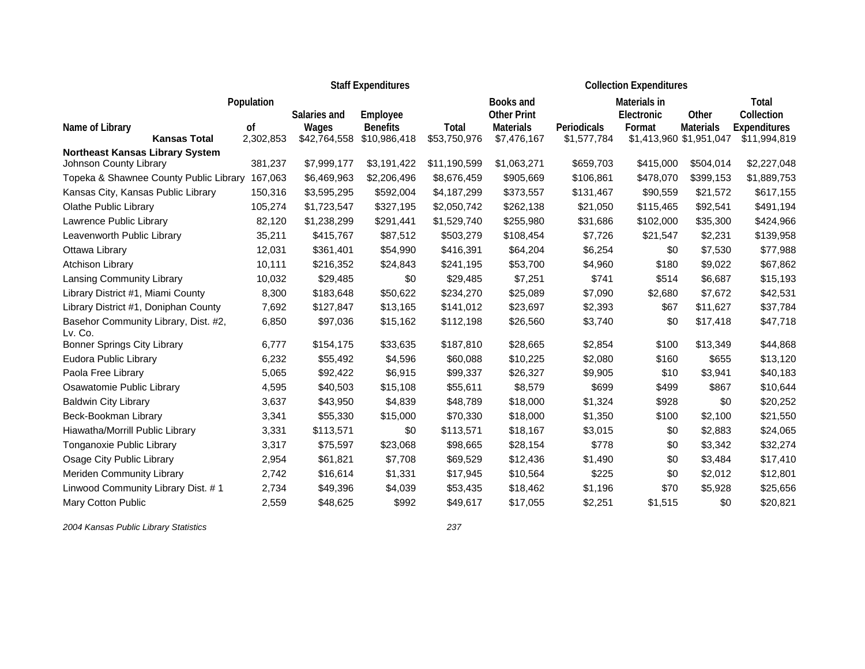|                                                 |                            |                       | <b>Staff Expenditures</b>       |                       | <b>Collection Expenditures</b>  |                            |              |                                             |                                     |
|-------------------------------------------------|----------------------------|-----------------------|---------------------------------|-----------------------|---------------------------------|----------------------------|--------------|---------------------------------------------|-------------------------------------|
|                                                 | Population                 |                       |                                 |                       | Books and                       |                            | Materials in |                                             | Total                               |
|                                                 |                            | Salaries and          | Employee                        |                       | <b>Other Print</b>              |                            | Electronic   | Other                                       | Collection                          |
| Name of Library<br><b>Kansas Total</b>          | <sub>of</sub><br>2,302,853 | Wages<br>\$42,764,558 | <b>Benefits</b><br>\$10,986,418 | Total<br>\$53,750,976 | <b>Materials</b><br>\$7,476,167 | Periodicals<br>\$1,577,784 | Format       | <b>Materials</b><br>\$1,413,960 \$1,951,047 | <b>Expenditures</b><br>\$11,994,819 |
| <b>Northeast Kansas Library System</b>          |                            |                       |                                 |                       |                                 |                            |              |                                             |                                     |
| Johnson County Library                          | 381,237                    | \$7,999,177           | \$3,191,422                     | \$11,190,599          | \$1,063,271                     | \$659,703                  | \$415,000    | \$504,014                                   | \$2,227,048                         |
| Topeka & Shawnee County Public Library          | 167,063                    | \$6,469,963           | \$2,206,496                     | \$8,676,459           | \$905,669                       | \$106,861                  | \$478,070    | \$399,153                                   | \$1,889,753                         |
| Kansas City, Kansas Public Library              | 150,316                    | \$3,595,295           | \$592,004                       | \$4,187,299           | \$373,557                       | \$131,467                  | \$90,559     | \$21,572                                    | \$617,155                           |
| <b>Olathe Public Library</b>                    | 105,274                    | \$1,723,547           | \$327,195                       | \$2,050,742           | \$262,138                       | \$21,050                   | \$115,465    | \$92,541                                    | \$491,194                           |
| Lawrence Public Library                         | 82,120                     | \$1,238,299           | \$291,441                       | \$1,529,740           | \$255,980                       | \$31,686                   | \$102,000    | \$35,300                                    | \$424,966                           |
| Leavenworth Public Library                      | 35,211                     | \$415,767             | \$87,512                        | \$503,279             | \$108,454                       | \$7,726                    | \$21,547     | \$2,231                                     | \$139,958                           |
| Ottawa Library                                  | 12,031                     | \$361,401             | \$54,990                        | \$416,391             | \$64,204                        | \$6,254                    | \$0          | \$7,530                                     | \$77,988                            |
| <b>Atchison Library</b>                         | 10,111                     | \$216,352             | \$24,843                        | \$241,195             | \$53,700                        | \$4,960                    | \$180        | \$9,022                                     | \$67,862                            |
| Lansing Community Library                       | 10,032                     | \$29,485              | \$0                             | \$29,485              | \$7,251                         | \$741                      | \$514        | \$6,687                                     | \$15,193                            |
| Library District #1, Miami County               | 8,300                      | \$183,648             | \$50,622                        | \$234,270             | \$25,089                        | \$7,090                    | \$2,680      | \$7,672                                     | \$42,531                            |
| Library District #1, Doniphan County            | 7,692                      | \$127,847             | \$13,165                        | \$141,012             | \$23,697                        | \$2,393                    | \$67         | \$11,627                                    | \$37,784                            |
| Basehor Community Library, Dist. #2,<br>Lv. Co. | 6,850                      | \$97,036              | \$15,162                        | \$112,198             | \$26,560                        | \$3,740                    | \$0          | \$17,418                                    | \$47,718                            |
| <b>Bonner Springs City Library</b>              | 6,777                      | \$154,175             | \$33,635                        | \$187,810             | \$28,665                        | \$2,854                    | \$100        | \$13,349                                    | \$44,868                            |
| Eudora Public Library                           | 6,232                      | \$55,492              | \$4,596                         | \$60,088              | \$10,225                        | \$2,080                    | \$160        | \$655                                       | \$13,120                            |
| Paola Free Library                              | 5,065                      | \$92,422              | \$6,915                         | \$99,337              | \$26,327                        | \$9,905                    | \$10         | \$3,941                                     | \$40,183                            |
| Osawatomie Public Library                       | 4,595                      | \$40,503              | \$15,108                        | \$55,611              | \$8,579                         | \$699                      | \$499        | \$867                                       | \$10,644                            |
| <b>Baldwin City Library</b>                     | 3,637                      | \$43,950              | \$4,839                         | \$48,789              | \$18,000                        | \$1,324                    | \$928        | \$0                                         | \$20,252                            |
| Beck-Bookman Library                            | 3,341                      | \$55,330              | \$15,000                        | \$70,330              | \$18,000                        | \$1,350                    | \$100        | \$2,100                                     | \$21,550                            |
| Hiawatha/Morrill Public Library                 | 3,331                      | \$113,571             | \$0                             | \$113,571             | \$18,167                        | \$3,015                    | \$0          | \$2,883                                     | \$24,065                            |
| Tonganoxie Public Library                       | 3,317                      | \$75,597              | \$23,068                        | \$98,665              | \$28,154                        | \$778                      | \$0          | \$3,342                                     | \$32,274                            |
| Osage City Public Library                       | 2,954                      | \$61,821              | \$7,708                         | \$69,529              | \$12,436                        | \$1,490                    | \$0          | \$3,484                                     | \$17,410                            |
| Meriden Community Library                       | 2,742                      | \$16,614              | \$1,331                         | \$17,945              | \$10,564                        | \$225                      | \$0          | \$2,012                                     | \$12,801                            |
| Linwood Community Library Dist. #1              | 2,734                      | \$49,396              | \$4,039                         | \$53,435              | \$18,462                        | \$1,196                    | \$70         | \$5,928                                     | \$25,656                            |
| <b>Mary Cotton Public</b>                       | 2,559                      | \$48,625              | \$992                           | \$49,617              | \$17,055                        | \$2,251                    | \$1,515      | \$0                                         | \$20,821                            |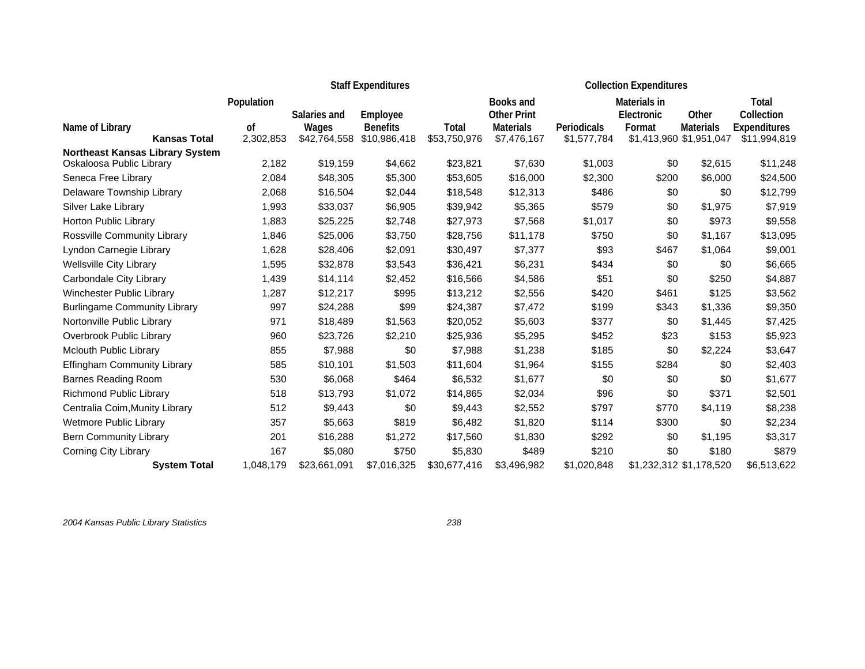|                                                                    |            |              | <b>Staff Expenditures</b> |              | <b>Collection Expenditures</b> |             |                   |                         |                     |
|--------------------------------------------------------------------|------------|--------------|---------------------------|--------------|--------------------------------|-------------|-------------------|-------------------------|---------------------|
|                                                                    | Population |              |                           |              | Books and                      |             | Materials in      |                         | Total               |
|                                                                    |            | Salaries and | Employee                  |              | <b>Other Print</b>             |             | <b>Electronic</b> | Other                   | Collection          |
| Name of Library                                                    | 0f         | Wages        | <b>Benefits</b>           | Total        | <b>Materials</b>               | Periodicals | Format            | <b>Materials</b>        | <b>Expenditures</b> |
| <b>Kansas Total</b>                                                | 2,302,853  | \$42,764,558 | \$10,986,418              | \$53,750,976 | \$7,476,167                    | \$1,577,784 |                   | \$1,413,960 \$1,951,047 | \$11,994,819        |
| <b>Northeast Kansas Library System</b><br>Oskaloosa Public Library | 2,182      | \$19,159     | \$4,662                   | \$23,821     | \$7,630                        | \$1,003     | \$0               | \$2,615                 | \$11,248            |
| Seneca Free Library                                                | 2,084      | \$48,305     | \$5,300                   | \$53,605     | \$16,000                       | \$2,300     | \$200             | \$6,000                 | \$24,500            |
| Delaware Township Library                                          | 2,068      | \$16,504     | \$2,044                   | \$18,548     | \$12,313                       | \$486       | \$0               | \$0                     | \$12,799            |
| Silver Lake Library                                                | 1,993      | \$33,037     | \$6,905                   | \$39,942     | \$5,365                        | \$579       | \$0               | \$1,975                 | \$7,919             |
| Horton Public Library                                              | 1,883      | \$25,225     | \$2,748                   | \$27,973     | \$7,568                        | \$1,017     | \$0               | \$973                   | \$9,558             |
| <b>Rossville Community Library</b>                                 | 1,846      | \$25,006     | \$3,750                   | \$28,756     | \$11,178                       | \$750       | \$0               | \$1,167                 | \$13,095            |
| Lyndon Carnegie Library                                            | 1,628      | \$28,406     | \$2,091                   | \$30,497     | \$7,377                        | \$93        | \$467             | \$1,064                 | \$9,001             |
| <b>Wellsville City Library</b>                                     | 1,595      | \$32,878     | \$3,543                   | \$36,421     | \$6,231                        | \$434       | \$0               | \$0                     | \$6,665             |
| Carbondale City Library                                            | 1,439      | \$14,114     | \$2,452                   | \$16,566     | \$4,586                        | \$51        | \$0               | \$250                   | \$4,887             |
| Winchester Public Library                                          | 1,287      | \$12,217     | \$995                     | \$13,212     | \$2,556                        | \$420       | \$461             | \$125                   | \$3,562             |
| <b>Burlingame Community Library</b>                                | 997        | \$24,288     | \$99                      | \$24,387     | \$7,472                        | \$199       | \$343             | \$1,336                 | \$9,350             |
| Nortonville Public Library                                         | 971        | \$18,489     | \$1,563                   | \$20,052     | \$5,603                        | \$377       | \$0               | \$1,445                 | \$7,425             |
| Overbrook Public Library                                           | 960        | \$23,726     | \$2,210                   | \$25,936     | \$5,295                        | \$452       | \$23              | \$153                   | \$5,923             |
| <b>Mclouth Public Library</b>                                      | 855        | \$7,988      | \$0                       | \$7,988      | \$1,238                        | \$185       | \$0               | \$2,224                 | \$3,647             |
| <b>Effingham Community Library</b>                                 | 585        | \$10,101     | \$1,503                   | \$11,604     | \$1,964                        | \$155       | \$284             | \$0                     | \$2,403             |
| <b>Barnes Reading Room</b>                                         | 530        | \$6,068      | \$464                     | \$6,532      | \$1,677                        | \$0         | \$0               | \$0                     | \$1,677             |
| Richmond Public Library                                            | 518        | \$13,793     | \$1,072                   | \$14,865     | \$2,034                        | \$96        | \$0               | \$371                   | \$2,501             |
| Centralia Coim, Munity Library                                     | 512        | \$9,443      | \$0                       | \$9,443      | \$2,552                        | \$797       | \$770             | \$4,119                 | \$8,238             |
| Wetmore Public Library                                             | 357        | \$5,663      | \$819                     | \$6,482      | \$1,820                        | \$114       | \$300             | \$0                     | \$2,234             |
| <b>Bern Community Library</b>                                      | 201        | \$16,288     | \$1,272                   | \$17,560     | \$1,830                        | \$292       | \$0               | \$1,195                 | \$3,317             |
| Corning City Library                                               | 167        | \$5,080      | \$750                     | \$5,830      | \$489                          | \$210       | \$0               | \$180                   | \$879               |
| <b>System Total</b>                                                | 1,048,179  | \$23,661,091 | \$7,016,325               | \$30,677,416 | \$3,496,982                    | \$1,020,848 |                   | \$1,232,312 \$1,178,520 | \$6,513,622         |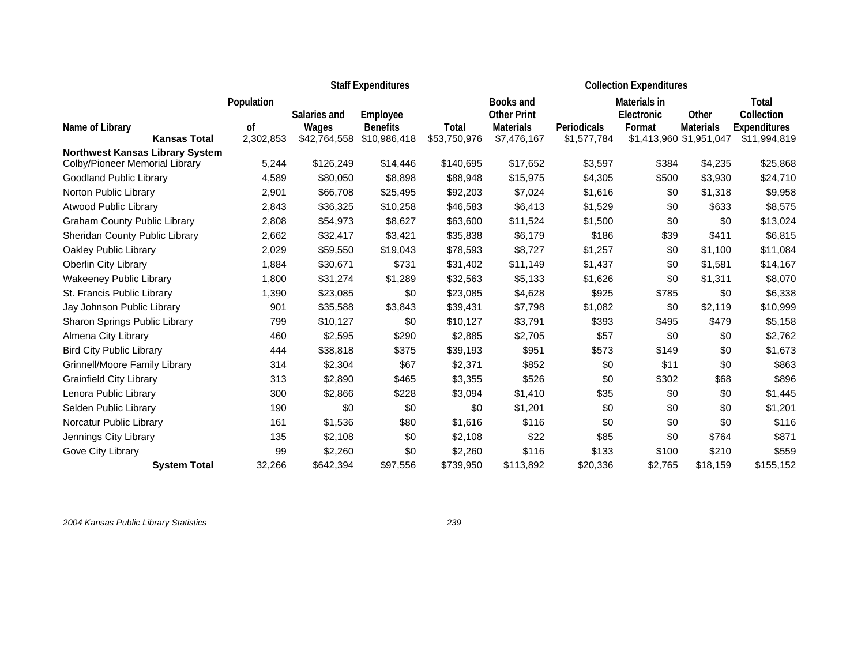|                                        |                 |                       | <b>Staff Expenditures</b>       |                       | <b>Collection Expenditures</b>         |                            |                            |                                             |                                     |
|----------------------------------------|-----------------|-----------------------|---------------------------------|-----------------------|----------------------------------------|----------------------------|----------------------------|---------------------------------------------|-------------------------------------|
|                                        | Population      | Salaries and          | Employee                        |                       | <b>Books and</b><br><b>Other Print</b> |                            | Materials in<br>Electronic | Other                                       | Total<br>Collection                 |
| Name of Library<br><b>Kansas Total</b> | 0f<br>2,302,853 | Wages<br>\$42,764,558 | <b>Benefits</b><br>\$10,986,418 | Total<br>\$53,750,976 | <b>Materials</b><br>\$7,476,167        | Periodicals<br>\$1,577,784 | Format                     | <b>Materials</b><br>\$1,413,960 \$1,951,047 | <b>Expenditures</b><br>\$11,994,819 |
| <b>Northwest Kansas Library System</b> |                 |                       |                                 |                       |                                        |                            |                            |                                             |                                     |
| Colby/Pioneer Memorial Library         | 5,244           | \$126,249             | \$14,446                        | \$140,695             | \$17,652                               | \$3,597                    | \$384                      | \$4,235                                     | \$25,868                            |
| Goodland Public Library                | 4,589           | \$80,050              | \$8,898                         | \$88,948              | \$15,975                               | \$4,305                    | \$500                      | \$3,930                                     | \$24,710                            |
| Norton Public Library                  | 2,901           | \$66,708              | \$25,495                        | \$92,203              | \$7,024                                | \$1,616                    | \$0                        | \$1,318                                     | \$9,958                             |
| <b>Atwood Public Library</b>           | 2,843           | \$36,325              | \$10,258                        | \$46,583              | \$6,413                                | \$1,529                    | \$0                        | \$633                                       | \$8,575                             |
| <b>Graham County Public Library</b>    | 2,808           | \$54,973              | \$8,627                         | \$63,600              | \$11,524                               | \$1,500                    | \$0                        | \$0                                         | \$13,024                            |
| Sheridan County Public Library         | 2,662           | \$32,417              | \$3,421                         | \$35,838              | \$6,179                                | \$186                      | \$39                       | \$411                                       | \$6,815                             |
| Oakley Public Library                  | 2,029           | \$59,550              | \$19,043                        | \$78,593              | \$8,727                                | \$1,257                    | \$0                        | \$1,100                                     | \$11,084                            |
| Oberlin City Library                   | 1,884           | \$30,671              | \$731                           | \$31,402              | \$11,149                               | \$1,437                    | \$0                        | \$1,581                                     | \$14,167                            |
| <b>Wakeeney Public Library</b>         | 1,800           | \$31,274              | \$1,289                         | \$32,563              | \$5,133                                | \$1,626                    | \$0                        | \$1,311                                     | \$8,070                             |
| St. Francis Public Library             | 1,390           | \$23,085              | \$0                             | \$23,085              | \$4,628                                | \$925                      | \$785                      | \$0                                         | \$6,338                             |
| Jay Johnson Public Library             | 901             | \$35,588              | \$3,843                         | \$39,431              | \$7,798                                | \$1,082                    | \$0                        | \$2,119                                     | \$10,999                            |
| Sharon Springs Public Library          | 799             | \$10,127              | \$0                             | \$10,127              | \$3,791                                | \$393                      | \$495                      | \$479                                       | \$5,158                             |
| Almena City Library                    | 460             | \$2,595               | \$290                           | \$2,885               | \$2,705                                | \$57                       | \$0                        | \$0                                         | \$2,762                             |
| <b>Bird City Public Library</b>        | 444             | \$38,818              | \$375                           | \$39,193              | \$951                                  | \$573                      | \$149                      | \$0                                         | \$1,673                             |
| <b>Grinnell/Moore Family Library</b>   | 314             | \$2,304               | \$67                            | \$2,371               | \$852                                  | \$0                        | \$11                       | \$0                                         | \$863                               |
| <b>Grainfield City Library</b>         | 313             | \$2,890               | \$465                           | \$3,355               | \$526                                  | \$0                        | \$302                      | \$68                                        | \$896                               |
| Lenora Public Library                  | 300             | \$2,866               | \$228                           | \$3,094               | \$1,410                                | \$35                       | \$0                        | \$0                                         | \$1,445                             |
| Selden Public Library                  | 190             | \$0                   | \$0                             | \$0                   | \$1,201                                | \$0                        | \$0                        | \$0                                         | \$1,201                             |
| Norcatur Public Library                | 161             | \$1,536               | \$80                            | \$1,616               | \$116                                  | \$0                        | \$0                        | \$0                                         | \$116                               |
| Jennings City Library                  | 135             | \$2,108               | \$0                             | \$2,108               | \$22                                   | \$85                       | \$0                        | \$764                                       | \$871                               |
| Gove City Library                      | 99              | \$2,260               | \$0                             | \$2,260               | \$116                                  | \$133                      | \$100                      | \$210                                       | \$559                               |
| <b>System Total</b>                    | 32,266          | \$642,394             | \$97,556                        | \$739,950             | \$113,892                              | \$20,336                   | \$2,765                    | \$18,159                                    | \$155,152                           |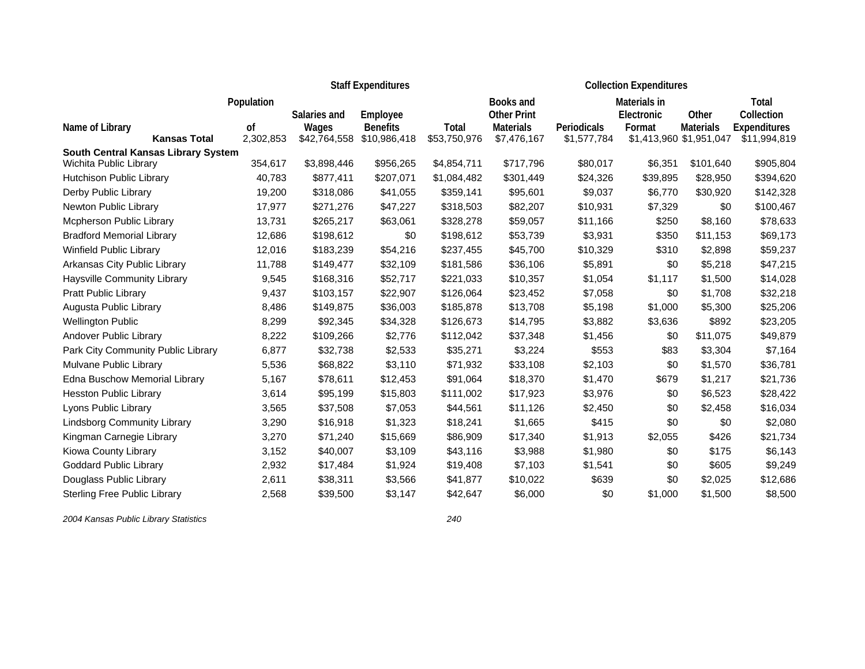|                                                               |            |              | <b>Staff Expenditures</b> |              | <b>Collection Expenditures</b> |             |              |                         |                     |
|---------------------------------------------------------------|------------|--------------|---------------------------|--------------|--------------------------------|-------------|--------------|-------------------------|---------------------|
|                                                               | Population |              |                           |              | Books and                      |             | Materials in |                         | Total               |
|                                                               |            | Salaries and | Employee                  |              | <b>Other Print</b>             |             | Electronic   | Other                   | Collection          |
| Name of Library                                               | οf         | Wages        | <b>Benefits</b>           | <b>Total</b> | <b>Materials</b>               | Periodicals | Format       | <b>Materials</b>        | <b>Expenditures</b> |
| <b>Kansas Total</b>                                           | 2,302,853  | \$42,764,558 | \$10,986,418              | \$53,750,976 | \$7,476,167                    | \$1,577,784 |              | \$1,413,960 \$1,951,047 | \$11,994,819        |
| South Central Kansas Library System<br>Wichita Public Library | 354,617    | \$3,898,446  | \$956,265                 | \$4,854,711  | \$717,796                      | \$80,017    | \$6,351      | \$101,640               | \$905,804           |
| Hutchison Public Library                                      | 40,783     | \$877,411    | \$207,071                 | \$1,084,482  | \$301,449                      | \$24,326    | \$39,895     | \$28,950                | \$394,620           |
| Derby Public Library                                          | 19,200     | \$318,086    | \$41,055                  | \$359,141    | \$95,601                       | \$9,037     | \$6,770      | \$30,920                | \$142,328           |
| Newton Public Library                                         | 17,977     | \$271,276    | \$47,227                  | \$318,503    | \$82,207                       | \$10,931    | \$7,329      | \$0                     | \$100,467           |
| Mcpherson Public Library                                      | 13,731     |              | \$63,061                  | \$328,278    |                                | \$11,166    | \$250        | \$8,160                 |                     |
|                                                               |            | \$265,217    |                           |              | \$59,057                       |             |              |                         | \$78,633            |
| <b>Bradford Memorial Library</b>                              | 12,686     | \$198,612    | \$0                       | \$198,612    | \$53,739                       | \$3,931     | \$350        | \$11,153                | \$69,173            |
| Winfield Public Library                                       | 12,016     | \$183,239    | \$54,216                  | \$237,455    | \$45,700                       | \$10,329    | \$310        | \$2,898                 | \$59,237            |
| Arkansas City Public Library                                  | 11,788     | \$149,477    | \$32,109                  | \$181,586    | \$36,106                       | \$5,891     | \$0          | \$5,218                 | \$47,215            |
| Haysville Community Library                                   | 9,545      | \$168,316    | \$52,717                  | \$221,033    | \$10,357                       | \$1,054     | \$1,117      | \$1,500                 | \$14,028            |
| Pratt Public Library                                          | 9,437      | \$103,157    | \$22,907                  | \$126,064    | \$23,452                       | \$7,058     | \$0          | \$1,708                 | \$32,218            |
| Augusta Public Library                                        | 8,486      | \$149,875    | \$36,003                  | \$185,878    | \$13,708                       | \$5,198     | \$1,000      | \$5,300                 | \$25,206            |
| <b>Wellington Public</b>                                      | 8,299      | \$92,345     | \$34,328                  | \$126,673    | \$14,795                       | \$3,882     | \$3,636      | \$892                   | \$23,205            |
| Andover Public Library                                        | 8,222      | \$109,266    | \$2,776                   | \$112,042    | \$37,348                       | \$1,456     | \$0          | \$11,075                | \$49,879            |
| Park City Community Public Library                            | 6,877      | \$32,738     | \$2,533                   | \$35,271     | \$3,224                        | \$553       | \$83         | \$3,304                 | \$7,164             |
| Mulvane Public Library                                        | 5,536      | \$68,822     | \$3,110                   | \$71,932     | \$33,108                       | \$2,103     | \$0          | \$1,570                 | \$36,781            |
| Edna Buschow Memorial Library                                 | 5,167      | \$78,611     | \$12,453                  | \$91,064     | \$18,370                       | \$1,470     | \$679        | \$1,217                 | \$21,736            |
| <b>Hesston Public Library</b>                                 | 3,614      | \$95,199     | \$15,803                  | \$111,002    | \$17,923                       | \$3,976     | \$0          | \$6,523                 | \$28,422            |
| Lyons Public Library                                          | 3,565      | \$37,508     | \$7,053                   | \$44,561     | \$11,126                       | \$2,450     | \$0          | \$2,458                 | \$16,034            |
| <b>Lindsborg Community Library</b>                            | 3,290      | \$16,918     | \$1,323                   | \$18,241     | \$1,665                        | \$415       | \$0          | \$0                     | \$2,080             |
| Kingman Carnegie Library                                      | 3,270      | \$71,240     | \$15,669                  | \$86,909     | \$17,340                       | \$1,913     | \$2,055      | \$426                   | \$21,734            |
| Kiowa County Library                                          | 3,152      | \$40,007     | \$3,109                   | \$43,116     | \$3,988                        | \$1,980     | \$0          | \$175                   | \$6,143             |
| <b>Goddard Public Library</b>                                 | 2,932      | \$17,484     | \$1,924                   | \$19,408     | \$7,103                        | \$1,541     | \$0          | \$605                   | \$9,249             |
| Douglass Public Library                                       | 2,611      | \$38,311     | \$3,566                   | \$41,877     | \$10,022                       | \$639       | \$0          | \$2,025                 | \$12,686            |
| <b>Sterling Free Public Library</b>                           | 2,568      | \$39,500     | \$3,147                   | \$42,647     | \$6,000                        | \$0         | \$1,000      | \$1,500                 | \$8,500             |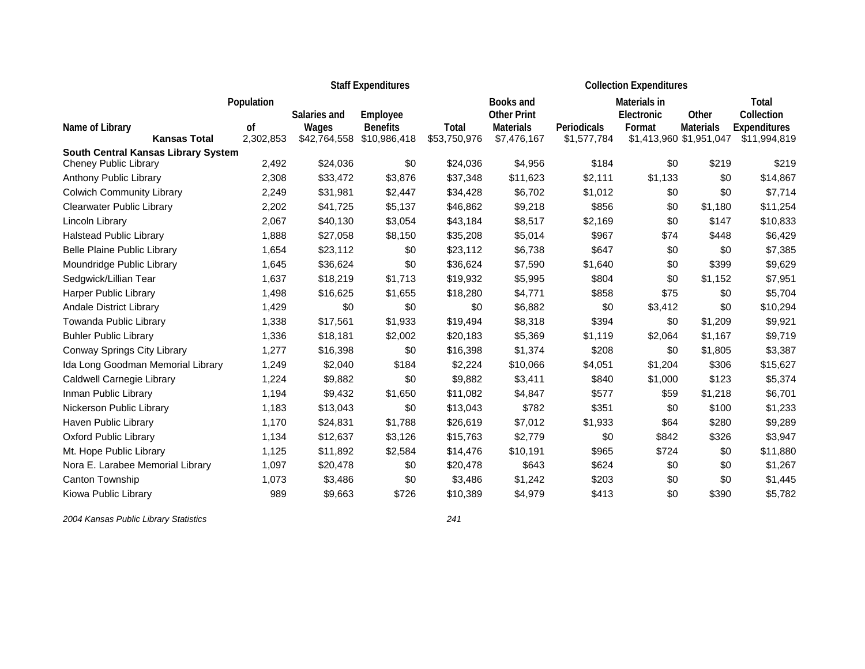|                                                                     |            |              | <b>Staff Expenditures</b> |              | <b>Collection Expenditures</b> |                    |              |                         |                     |
|---------------------------------------------------------------------|------------|--------------|---------------------------|--------------|--------------------------------|--------------------|--------------|-------------------------|---------------------|
|                                                                     | Population |              |                           |              | <b>Books and</b>               |                    | Materials in |                         | Total               |
|                                                                     |            | Salaries and | Employee                  |              | <b>Other Print</b>             |                    | Electronic   | Other                   | Collection          |
| Name of Library                                                     | 0f         | Wages        | <b>Benefits</b>           | Total        | <b>Materials</b>               | <b>Periodicals</b> | Format       | <b>Materials</b>        | <b>Expenditures</b> |
| <b>Kansas Total</b>                                                 | 2,302,853  | \$42,764,558 | \$10,986,418              | \$53,750,976 | \$7,476,167                    | \$1,577,784        |              | \$1,413,960 \$1,951,047 | \$11,994,819        |
| South Central Kansas Library System<br><b>Cheney Public Library</b> | 2,492      | \$24,036     | \$0                       | \$24,036     | \$4,956                        | \$184              | \$0          | \$219                   | \$219               |
| Anthony Public Library                                              | 2,308      | \$33,472     | \$3,876                   | \$37,348     | \$11,623                       | \$2,111            | \$1,133      | \$0                     | \$14,867            |
| <b>Colwich Community Library</b>                                    | 2,249      | \$31,981     | \$2,447                   | \$34,428     | \$6,702                        | \$1,012            | \$0          | \$0                     | \$7,714             |
| <b>Clearwater Public Library</b>                                    | 2,202      | \$41,725     | \$5,137                   | \$46,862     | \$9,218                        | \$856              | \$0          | \$1,180                 | \$11,254            |
| Lincoln Library                                                     | 2,067      | \$40,130     | \$3,054                   | \$43,184     | \$8,517                        | \$2,169            | \$0          | \$147                   | \$10,833            |
| <b>Halstead Public Library</b>                                      | 1,888      | \$27,058     | \$8,150                   | \$35,208     | \$5,014                        | \$967              | \$74         | \$448                   | \$6,429             |
| <b>Belle Plaine Public Library</b>                                  | 1,654      | \$23,112     | \$0                       | \$23,112     | \$6,738                        | \$647              | \$0          | \$0                     | \$7,385             |
| Moundridge Public Library                                           | 1,645      | \$36,624     | \$0                       | \$36,624     | \$7,590                        | \$1,640            | \$0          | \$399                   | \$9,629             |
| Sedgwick/Lillian Tear                                               | 1,637      | \$18,219     | \$1,713                   | \$19,932     | \$5,995                        | \$804              | \$0          | \$1,152                 | \$7,951             |
| Harper Public Library                                               | 1,498      | \$16,625     | \$1,655                   | \$18,280     | \$4,771                        | \$858              | \$75         | \$0                     | \$5,704             |
| <b>Andale District Library</b>                                      | 1,429      | \$0          | \$0                       | \$0          | \$6,882                        | \$0                | \$3,412      | \$0                     | \$10,294            |
| Towanda Public Library                                              | 1,338      | \$17,561     | \$1,933                   | \$19,494     | \$8,318                        | \$394              | \$0          | \$1,209                 | \$9,921             |
| <b>Buhler Public Library</b>                                        | 1,336      | \$18,181     | \$2,002                   | \$20,183     | \$5,369                        | \$1,119            | \$2,064      | \$1,167                 | \$9,719             |
| Conway Springs City Library                                         | 1,277      | \$16,398     | \$0                       | \$16,398     | \$1,374                        | \$208              | \$0          | \$1,805                 | \$3,387             |
| Ida Long Goodman Memorial Library                                   | 1,249      | \$2,040      | \$184                     | \$2,224      | \$10,066                       | \$4,051            | \$1,204      | \$306                   | \$15,627            |
| Caldwell Carnegie Library                                           | 1,224      | \$9,882      | \$0                       | \$9,882      | \$3,411                        | \$840              | \$1,000      | \$123                   | \$5,374             |
| Inman Public Library                                                | 1,194      | \$9,432      | \$1,650                   | \$11,082     | \$4,847                        | \$577              | \$59         | \$1,218                 | \$6,701             |
| Nickerson Public Library                                            | 1,183      | \$13,043     | \$0                       | \$13,043     | \$782                          | \$351              | \$0          | \$100                   | \$1,233             |
| Haven Public Library                                                | 1,170      | \$24,831     | \$1,788                   | \$26,619     | \$7,012                        | \$1,933            | \$64         | \$280                   | \$9,289             |
| <b>Oxford Public Library</b>                                        | 1,134      | \$12,637     | \$3,126                   | \$15,763     | \$2,779                        | \$0                | \$842        | \$326                   | \$3,947             |
| Mt. Hope Public Library                                             | 1,125      | \$11,892     | \$2,584                   | \$14,476     | \$10,191                       | \$965              | \$724        | \$0                     | \$11,880            |
| Nora E. Larabee Memorial Library                                    | 1,097      | \$20,478     | \$0                       | \$20,478     | \$643                          | \$624              | \$0          | \$0                     | \$1,267             |
| Canton Township                                                     | 1,073      | \$3,486      | \$0                       | \$3,486      | \$1,242                        | \$203              | \$0          | \$0                     | \$1,445             |
| Kiowa Public Library                                                | 989        | \$9,663      | \$726                     | \$10,389     | \$4,979                        | \$413              | \$0          | \$390                   | \$5,782             |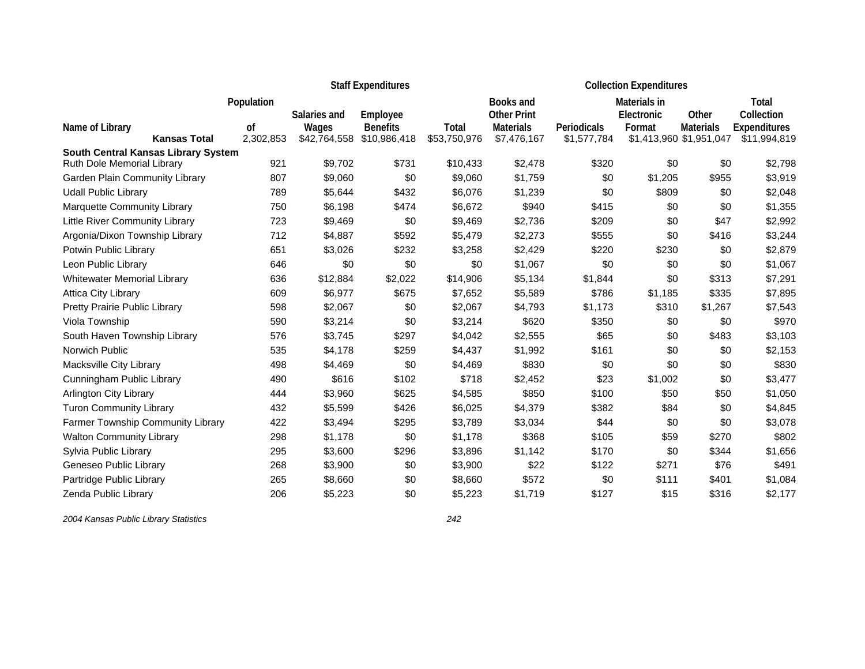|                                                                   |            |              | <b>Staff Expenditures</b> |              | <b>Collection Expenditures</b> |             |              |                         |                     |  |
|-------------------------------------------------------------------|------------|--------------|---------------------------|--------------|--------------------------------|-------------|--------------|-------------------------|---------------------|--|
|                                                                   | Population |              |                           |              | Books and                      |             | Materials in |                         | Total               |  |
|                                                                   |            | Salaries and | Employee                  |              | <b>Other Print</b>             |             | Electronic   | Other                   | Collection          |  |
| Name of Library                                                   | οf         | Wages        | <b>Benefits</b>           | Total        | <b>Materials</b>               | Periodicals | Format       | <b>Materials</b>        | <b>Expenditures</b> |  |
| <b>Kansas Total</b>                                               | 2,302,853  | \$42,764,558 | \$10,986,418              | \$53,750,976 | \$7,476,167                    | \$1,577,784 |              | \$1,413,960 \$1,951,047 | \$11,994,819        |  |
| South Central Kansas Library System<br>Ruth Dole Memorial Library | 921        | \$9,702      | \$731                     | \$10,433     | \$2,478                        | \$320       | \$0          | \$0                     | \$2,798             |  |
| Garden Plain Community Library                                    | 807        | \$9,060      | \$0                       | \$9,060      | \$1,759                        | \$0         | \$1,205      | \$955                   | \$3,919             |  |
| <b>Udall Public Library</b>                                       | 789        | \$5,644      | \$432                     | \$6,076      | \$1,239                        | \$0         | \$809        | \$0                     | \$2,048             |  |
|                                                                   |            |              |                           |              |                                |             |              |                         |                     |  |
| Marquette Community Library                                       | 750        | \$6,198      | \$474                     | \$6,672      | \$940                          | \$415       | \$0          | \$0                     | \$1,355             |  |
| Little River Community Library                                    | 723        | \$9,469      | \$0                       | \$9,469      | \$2,736                        | \$209       | \$0          | \$47                    | \$2,992             |  |
| Argonia/Dixon Township Library                                    | 712        | \$4,887      | \$592                     | \$5,479      | \$2,273                        | \$555       | \$0          | \$416                   | \$3,244             |  |
| Potwin Public Library                                             | 651        | \$3,026      | \$232                     | \$3,258      | \$2,429                        | \$220       | \$230        | \$0                     | \$2,879             |  |
| Leon Public Library                                               | 646        | \$0          | \$0                       | \$0          | \$1,067                        | \$0         | \$0          | \$0                     | \$1,067             |  |
| <b>Whitewater Memorial Library</b>                                | 636        | \$12,884     | \$2,022                   | \$14,906     | \$5,134                        | \$1,844     | \$0          | \$313                   | \$7,291             |  |
| <b>Attica City Library</b>                                        | 609        | \$6,977      | \$675                     | \$7,652      | \$5,589                        | \$786       | \$1,185      | \$335                   | \$7,895             |  |
| Pretty Prairie Public Library                                     | 598        | \$2,067      | \$0                       | \$2,067      | \$4,793                        | \$1,173     | \$310        | \$1,267                 | \$7,543             |  |
| Viola Township                                                    | 590        | \$3,214      | \$0                       | \$3,214      | \$620                          | \$350       | \$0          | \$0                     | \$970               |  |
| South Haven Township Library                                      | 576        | \$3,745      | \$297                     | \$4,042      | \$2,555                        | \$65        | \$0          | \$483                   | \$3,103             |  |
| Norwich Public                                                    | 535        | \$4,178      | \$259                     | \$4,437      | \$1,992                        | \$161       | \$0          | \$0                     | \$2,153             |  |
| Macksville City Library                                           | 498        | \$4,469      | \$0                       | \$4,469      | \$830                          | \$0         | \$0          | \$0                     | \$830               |  |
| Cunningham Public Library                                         | 490        | \$616        | \$102                     | \$718        | \$2,452                        | \$23        | \$1,002      | \$0                     | \$3,477             |  |
| <b>Arlington City Library</b>                                     | 444        | \$3,960      | \$625                     | \$4,585      | \$850                          | \$100       | \$50         | \$50                    | \$1,050             |  |
| <b>Turon Community Library</b>                                    | 432        | \$5,599      | \$426                     | \$6,025      | \$4,379                        | \$382       | \$84         | \$0                     | \$4,845             |  |
| Farmer Township Community Library                                 | 422        | \$3,494      | \$295                     | \$3,789      | \$3,034                        | \$44        | \$0          | \$0                     | \$3,078             |  |
| <b>Walton Community Library</b>                                   | 298        | \$1,178      | \$0                       | \$1,178      | \$368                          | \$105       | \$59         | \$270                   | \$802               |  |
| Sylvia Public Library                                             | 295        | \$3,600      | \$296                     | \$3,896      | \$1,142                        | \$170       | \$0          | \$344                   | \$1,656             |  |
| Geneseo Public Library                                            | 268        | \$3,900      | \$0                       | \$3,900      | \$22                           | \$122       | \$271        | \$76                    | \$491               |  |
| Partridge Public Library                                          | 265        | \$8,660      | \$0                       | \$8,660      | \$572                          | \$0         | \$111        | \$401                   | \$1,084             |  |
| Zenda Public Library                                              | 206        | \$5,223      | \$0                       | \$5,223      | \$1,719                        | \$127       | \$15         | \$316                   | \$2,177             |  |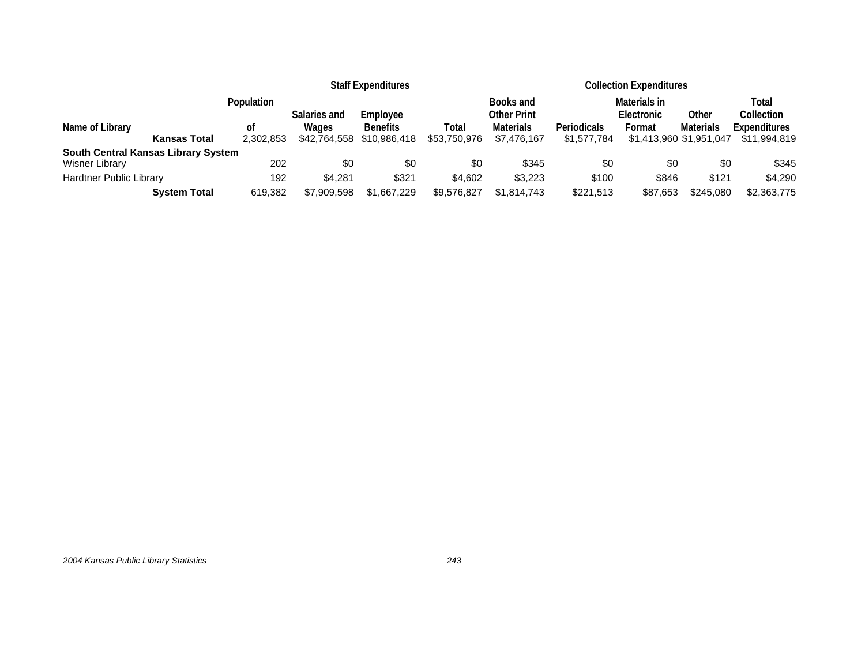|                                        |                 |                       | <b>Staff Expenditures</b>       | <b>Collection Expenditures</b> |                                 |                            |                                   |                  |                                     |
|----------------------------------------|-----------------|-----------------------|---------------------------------|--------------------------------|---------------------------------|----------------------------|-----------------------------------|------------------|-------------------------------------|
|                                        | Population      | Salaries and          | Employee                        |                                | Books and<br><b>Other Print</b> |                            | Materials in<br>Electronic        | Other            | Total<br>Collection                 |
| Name of Library<br><b>Kansas Total</b> | οf<br>2,302,853 | Wages<br>\$42,764,558 | <b>Benefits</b><br>\$10,986,418 | Total<br>\$53,750,976          | <b>Materials</b><br>\$7,476,167 | Periodicals<br>\$1,577,784 | Format<br>\$1,413,960 \$1,951,047 | <b>Materials</b> | <b>Expenditures</b><br>\$11,994,819 |
| South Central Kansas Library System    |                 |                       |                                 |                                |                                 |                            |                                   |                  |                                     |
| Wisner Library                         | 202             | \$0                   | \$0                             | \$0                            | \$345                           | \$0                        | \$0                               | \$0              | \$345                               |
| <b>Hardtner Public Library</b>         | 192             | \$4.281               | \$321                           | \$4.602                        | \$3,223                         | \$100                      | \$846                             | \$121            | \$4,290                             |
| <b>System Total</b>                    | 619,382         | \$7,909,598           | \$1,667,229                     | \$9,576,827                    | \$1,814,743                     | \$221,513                  | \$87.653                          | \$245,080        | \$2,363,775                         |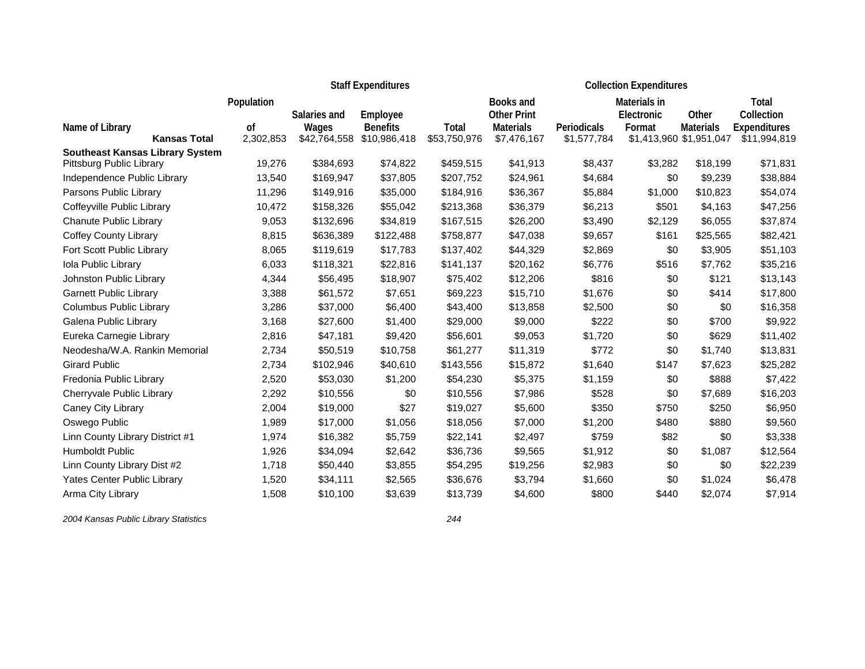|                                                                    |                 |              | <b>Staff Expenditures</b>       | <b>Collection Expenditures</b> |                    |             |              |                         |                     |
|--------------------------------------------------------------------|-----------------|--------------|---------------------------------|--------------------------------|--------------------|-------------|--------------|-------------------------|---------------------|
|                                                                    | Population      |              |                                 |                                | Books and          |             | Materials in |                         | Total               |
|                                                                    |                 | Salaries and | Employee                        |                                | <b>Other Print</b> |             | Electronic   | Other                   | Collection          |
| Name of Library<br><b>Kansas Total</b>                             | 0f<br>2,302,853 | Wages        | <b>Benefits</b><br>\$10,986,418 | <b>Total</b><br>\$53,750,976   | <b>Materials</b>   | Periodicals | Format       | <b>Materials</b>        | <b>Expenditures</b> |
|                                                                    |                 | \$42,764,558 |                                 |                                | \$7,476,167        | \$1,577,784 |              | \$1,413,960 \$1,951,047 | \$11,994,819        |
| <b>Southeast Kansas Library System</b><br>Pittsburg Public Library | 19,276          | \$384,693    | \$74,822                        | \$459,515                      | \$41,913           | \$8,437     | \$3,282      | \$18,199                | \$71,831            |
| Independence Public Library                                        | 13,540          | \$169,947    | \$37,805                        | \$207,752                      | \$24,961           | \$4,684     | \$0          | \$9,239                 | \$38,884            |
| Parsons Public Library                                             | 11,296          | \$149,916    | \$35,000                        | \$184,916                      | \$36,367           | \$5,884     | \$1,000      | \$10,823                | \$54,074            |
| Coffeyville Public Library                                         | 10,472          | \$158,326    | \$55,042                        | \$213,368                      | \$36,379           | \$6,213     | \$501        | \$4,163                 | \$47,256            |
| Chanute Public Library                                             | 9,053           | \$132,696    | \$34,819                        | \$167,515                      | \$26,200           | \$3,490     | \$2,129      | \$6,055                 | \$37,874            |
|                                                                    |                 |              |                                 |                                |                    |             |              |                         |                     |
| <b>Coffey County Library</b>                                       | 8,815           | \$636,389    | \$122,488                       | \$758,877                      | \$47,038           | \$9,657     | \$161        | \$25,565                | \$82,421            |
| Fort Scott Public Library                                          | 8,065           | \$119,619    | \$17,783                        | \$137,402                      | \$44,329           | \$2,869     | \$0          | \$3,905                 | \$51,103            |
| Iola Public Library                                                | 6,033           | \$118,321    | \$22,816                        | \$141,137                      | \$20,162           | \$6,776     | \$516        | \$7,762                 | \$35,216            |
| Johnston Public Library                                            | 4,344           | \$56,495     | \$18,907                        | \$75,402                       | \$12,206           | \$816       | \$0          | \$121                   | \$13,143            |
| <b>Garnett Public Library</b>                                      | 3,388           | \$61,572     | \$7,651                         | \$69,223                       | \$15,710           | \$1,676     | \$0          | \$414                   | \$17,800            |
| Columbus Public Library                                            | 3,286           | \$37,000     | \$6,400                         | \$43,400                       | \$13,858           | \$2,500     | \$0          | \$0                     | \$16,358            |
| Galena Public Library                                              | 3,168           | \$27,600     | \$1,400                         | \$29,000                       | \$9,000            | \$222       | \$0          | \$700                   | \$9,922             |
| Eureka Carnegie Library                                            | 2,816           | \$47,181     | \$9,420                         | \$56,601                       | \$9,053            | \$1,720     | \$0          | \$629                   | \$11,402            |
| Neodesha/W.A. Rankin Memorial                                      | 2,734           | \$50,519     | \$10,758                        | \$61,277                       | \$11,319           | \$772       | \$0          | \$1,740                 | \$13,831            |
| <b>Girard Public</b>                                               | 2,734           | \$102,946    | \$40,610                        | \$143,556                      | \$15,872           | \$1,640     | \$147        | \$7,623                 | \$25,282            |
| Fredonia Public Library                                            | 2,520           | \$53,030     | \$1,200                         | \$54,230                       | \$5,375            | \$1,159     | \$0          | \$888                   | \$7,422             |
| Cherryvale Public Library                                          | 2,292           | \$10,556     | \$0                             | \$10,556                       | \$7,986            | \$528       | \$0          | \$7,689                 | \$16,203            |
| Caney City Library                                                 | 2,004           | \$19,000     | \$27                            | \$19,027                       | \$5,600            | \$350       | \$750        | \$250                   | \$6,950             |
| Oswego Public                                                      | 1,989           | \$17,000     | \$1,056                         | \$18,056                       | \$7,000            | \$1,200     | \$480        | \$880                   | \$9,560             |
| Linn County Library District #1                                    | 1,974           | \$16,382     | \$5,759                         | \$22,141                       | \$2,497            | \$759       | \$82         | \$0                     | \$3,338             |
| Humboldt Public                                                    | 1,926           | \$34,094     | \$2,642                         | \$36,736                       | \$9,565            | \$1,912     | \$0          | \$1,087                 | \$12,564            |
| Linn County Library Dist #2                                        | 1,718           | \$50,440     | \$3,855                         | \$54,295                       | \$19,256           | \$2,983     | \$0          | \$0                     | \$22,239            |
| <b>Yates Center Public Library</b>                                 | 1,520           | \$34,111     | \$2,565                         | \$36,676                       | \$3,794            | \$1,660     | \$0          | \$1,024                 | \$6,478             |
| Arma City Library                                                  | 1,508           | \$10,100     | \$3,639                         | \$13,739                       | \$4,600            | \$800       | \$440        | \$2,074                 | \$7,914             |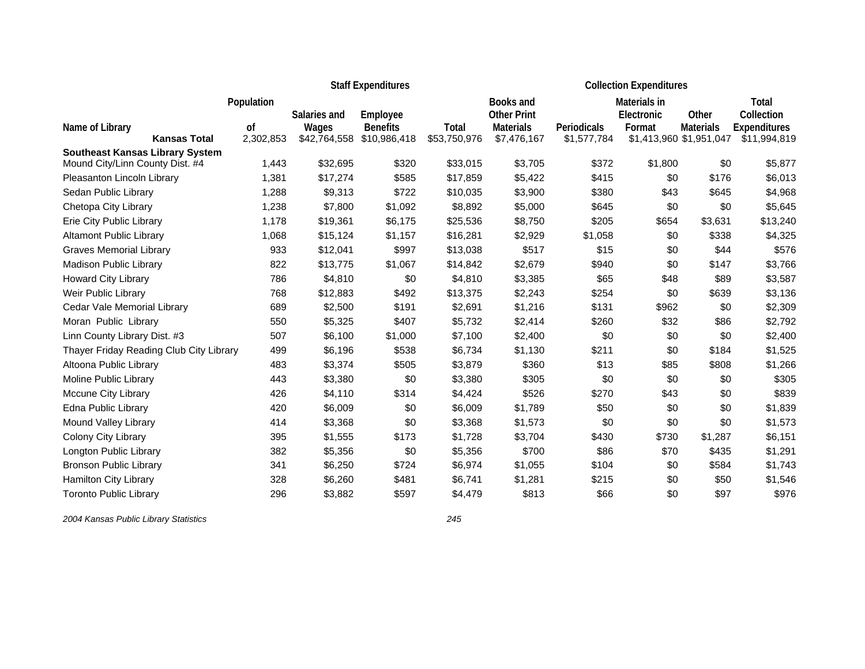|                                                                           | <b>Staff Expenditures</b> |              |                 |              |                    | <b>Collection Expenditures</b> |              |                         |                     |  |  |
|---------------------------------------------------------------------------|---------------------------|--------------|-----------------|--------------|--------------------|--------------------------------|--------------|-------------------------|---------------------|--|--|
|                                                                           | Population                |              |                 |              | Books and          |                                | Materials in |                         | Total               |  |  |
|                                                                           |                           | Salaries and | Employee        |              | <b>Other Print</b> |                                | Electronic   | Other                   | Collection          |  |  |
| Name of Library                                                           | οf                        | Wages        | <b>Benefits</b> | Total        | <b>Materials</b>   | <b>Periodicals</b>             | Format       | <b>Materials</b>        | <b>Expenditures</b> |  |  |
| <b>Kansas Total</b>                                                       | 2,302,853                 | \$42,764,558 | \$10,986,418    | \$53,750,976 | \$7,476,167        | \$1,577,784                    |              | \$1,413,960 \$1,951,047 | \$11,994,819        |  |  |
| <b>Southeast Kansas Library System</b><br>Mound City/Linn County Dist. #4 | 1,443                     | \$32,695     | \$320           | \$33,015     | \$3,705            | \$372                          | \$1,800      | \$0                     | \$5,877             |  |  |
| Pleasanton Lincoln Library                                                | 1,381                     | \$17,274     | \$585           | \$17,859     | \$5,422            | \$415                          | \$0          | \$176                   | \$6,013             |  |  |
| Sedan Public Library                                                      | 1,288                     | \$9,313      | \$722           | \$10,035     | \$3,900            | \$380                          | \$43         | \$645                   | \$4,968             |  |  |
| Chetopa City Library                                                      | 1,238                     | \$7,800      | \$1,092         | \$8,892      | \$5,000            | \$645                          | \$0          | \$0                     | \$5,645             |  |  |
| Erie City Public Library                                                  | 1,178                     | \$19,361     | \$6,175         | \$25,536     | \$8,750            | \$205                          | \$654        | \$3,631                 | \$13,240            |  |  |
|                                                                           |                           |              |                 |              |                    |                                |              |                         |                     |  |  |
| <b>Altamont Public Library</b>                                            | 1,068                     | \$15,124     | \$1,157         | \$16,281     | \$2,929            | \$1,058                        | \$0          | \$338                   | \$4,325             |  |  |
| <b>Graves Memorial Library</b>                                            | 933                       | \$12,041     | \$997           | \$13,038     | \$517              | \$15                           | \$0          | \$44                    | \$576               |  |  |
| Madison Public Library                                                    | 822                       | \$13,775     | \$1,067         | \$14,842     | \$2,679            | \$940                          | \$0          | \$147                   | \$3,766             |  |  |
| Howard City Library                                                       | 786                       | \$4,810      | \$0             | \$4,810      | \$3,385            | \$65                           | \$48         | \$89                    | \$3,587             |  |  |
| Weir Public Library                                                       | 768                       | \$12,883     | \$492           | \$13,375     | \$2,243            | \$254                          | \$0          | \$639                   | \$3,136             |  |  |
| Cedar Vale Memorial Library                                               | 689                       | \$2,500      | \$191           | \$2,691      | \$1,216            | \$131                          | \$962        | \$0                     | \$2,309             |  |  |
| Moran Public Library                                                      | 550                       | \$5,325      | \$407           | \$5,732      | \$2,414            | \$260                          | \$32         | \$86                    | \$2,792             |  |  |
| Linn County Library Dist. #3                                              | 507                       | \$6,100      | \$1,000         | \$7,100      | \$2,400            | \$0                            | \$0          | \$0                     | \$2,400             |  |  |
| Thayer Friday Reading Club City Library                                   | 499                       | \$6,196      | \$538           | \$6,734      | \$1,130            | \$211                          | \$0          | \$184                   | \$1,525             |  |  |
| Altoona Public Library                                                    | 483                       | \$3,374      | \$505           | \$3,879      | \$360              | \$13                           | \$85         | \$808                   | \$1,266             |  |  |
| Moline Public Library                                                     | 443                       | \$3,380      | \$0             | \$3,380      | \$305              | \$0                            | \$0          | \$0                     | \$305               |  |  |
| <b>Mccune City Library</b>                                                | 426                       | \$4,110      | \$314           | \$4,424      | \$526              | \$270                          | \$43         | \$0                     | \$839               |  |  |
| Edna Public Library                                                       | 420                       | \$6,009      | \$0             | \$6,009      | \$1,789            | \$50                           | \$0          | \$0                     | \$1,839             |  |  |
| Mound Valley Library                                                      | 414                       | \$3,368      | \$0             | \$3,368      | \$1,573            | \$0                            | \$0          | \$0                     | \$1,573             |  |  |
| Colony City Library                                                       | 395                       | \$1,555      | \$173           | \$1,728      | \$3,704            | \$430                          | \$730        | \$1,287                 | \$6,151             |  |  |
| Longton Public Library                                                    | 382                       | \$5,356      | \$0             | \$5,356      | \$700              | \$86                           | \$70         | \$435                   | \$1,291             |  |  |
| <b>Bronson Public Library</b>                                             | 341                       | \$6,250      | \$724           | \$6,974      | \$1,055            | \$104                          | \$0          | \$584                   | \$1,743             |  |  |
| Hamilton City Library                                                     | 328                       | \$6,260      | \$481           | \$6,741      | \$1,281            | \$215                          | \$0          | \$50                    | \$1,546             |  |  |
| <b>Toronto Public Library</b>                                             | 296                       | \$3.882      | \$597           | \$4,479      | \$813              | \$66                           | \$0          | \$97                    | \$976               |  |  |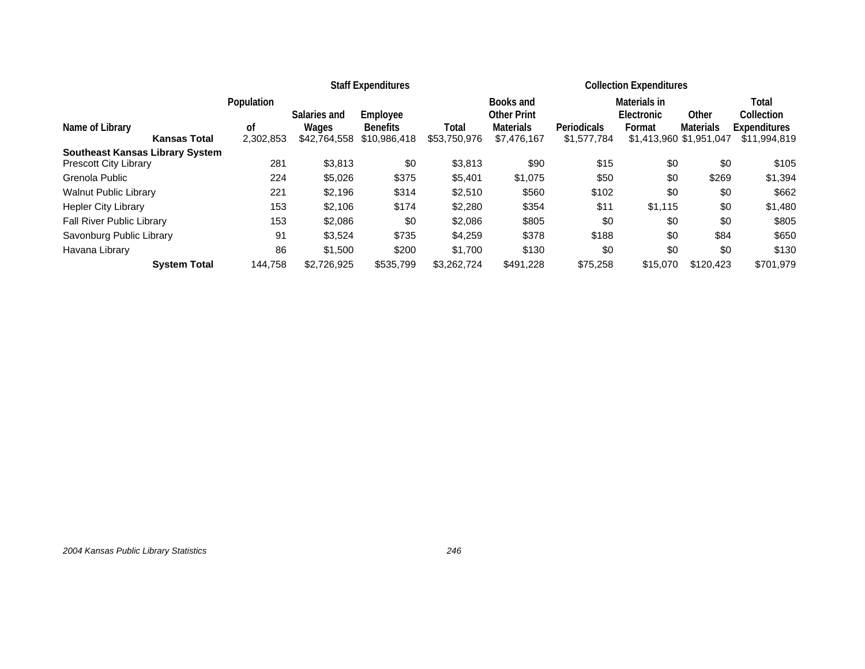|                                        |               |              | <b>Staff Expenditures</b> |              | <b>Collection Expenditures</b>  |                    |                            |                         |                     |  |
|----------------------------------------|---------------|--------------|---------------------------|--------------|---------------------------------|--------------------|----------------------------|-------------------------|---------------------|--|
|                                        | Population    | Salaries and | Employee                  |              | Books and<br><b>Other Print</b> |                    | Materials in<br>Electronic | Other                   | Total<br>Collection |  |
| Name of Library                        | <sub>of</sub> | Wages        | <b>Benefits</b>           | Total        | <b>Materials</b>                | <b>Periodicals</b> | Format                     | <b>Materials</b>        | <b>Expenditures</b> |  |
| <b>Kansas Total</b>                    | 2,302,853     | \$42,764,558 | \$10,986,418              | \$53,750,976 | \$7,476,167                     | \$1,577,784        |                            | \$1,413,960 \$1,951,047 | \$11,994,819        |  |
| <b>Southeast Kansas Library System</b> |               |              |                           |              |                                 |                    |                            |                         |                     |  |
| <b>Prescott City Library</b>           | 281           | \$3,813      | \$0                       | \$3,813      | \$90                            | \$15               | \$0                        | \$0                     | \$105               |  |
| Grenola Public                         | 224           | \$5,026      | \$375                     | \$5,401      | \$1,075                         | \$50               | \$0                        | \$269                   | \$1,394             |  |
| <b>Walnut Public Library</b>           | 221           | \$2,196      | \$314                     | \$2,510      | \$560                           | \$102              | \$0                        | \$0                     | \$662               |  |
| <b>Hepler City Library</b>             | 153           | \$2,106      | \$174                     | \$2,280      | \$354                           | \$11               | \$1,115                    | \$0                     | \$1,480             |  |
| <b>Fall River Public Library</b>       | 153           | \$2,086      | \$0                       | \$2,086      | \$805                           | \$0                | \$0                        | \$0                     | \$805               |  |
| Savonburg Public Library               | 91            | \$3,524      | \$735                     | \$4,259      | \$378                           | \$188              | \$0                        | \$84                    | \$650               |  |
| Havana Library                         | 86            | \$1,500      | \$200                     | \$1,700      | \$130                           | \$0                | \$0                        | \$0                     | \$130               |  |
| <b>System Total</b>                    | 144.758       | \$2,726,925  | \$535,799                 | \$3,262,724  | \$491,228                       | \$75,258           | \$15,070                   | \$120,423               | \$701,979           |  |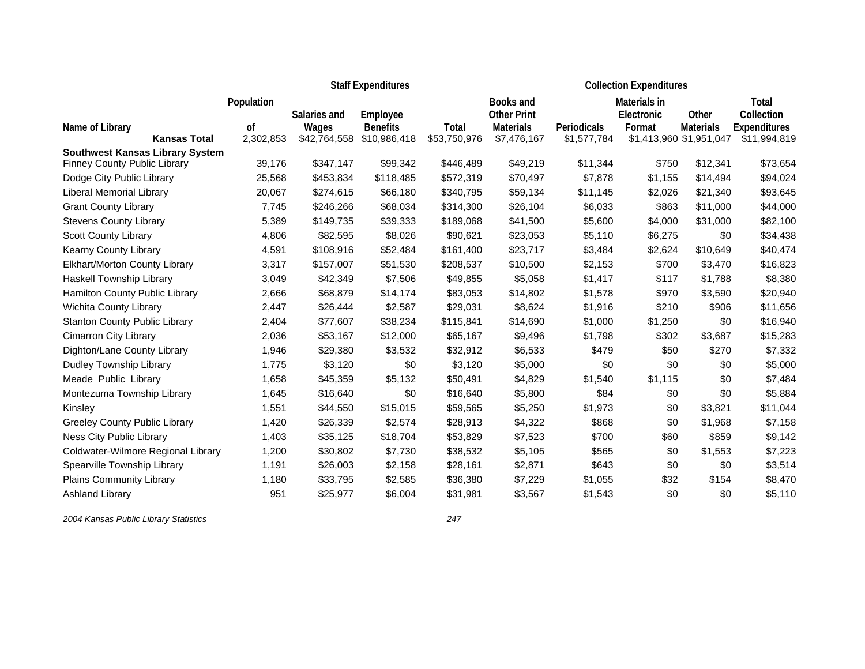|                                                                        |                 |              | <b>Staff Expenditures</b>       | <b>Collection Expenditures</b> |                    |             |              |                         |                     |
|------------------------------------------------------------------------|-----------------|--------------|---------------------------------|--------------------------------|--------------------|-------------|--------------|-------------------------|---------------------|
|                                                                        | Population      |              |                                 |                                | Books and          |             | Materials in |                         | Total               |
|                                                                        |                 | Salaries and | Employee                        |                                | <b>Other Print</b> |             | Electronic   | Other                   | Collection          |
| Name of Library<br><b>Kansas Total</b>                                 | 0f<br>2,302,853 | Wages        | <b>Benefits</b><br>\$10,986,418 | <b>Total</b>                   | <b>Materials</b>   | Periodicals | Format       | <b>Materials</b>        | <b>Expenditures</b> |
|                                                                        |                 | \$42,764,558 |                                 | \$53,750,976                   | \$7,476,167        | \$1,577,784 |              | \$1,413,960 \$1,951,047 | \$11,994,819        |
| <b>Southwest Kansas Library System</b><br>Finney County Public Library | 39,176          | \$347,147    | \$99,342                        | \$446,489                      | \$49,219           | \$11,344    | \$750        | \$12,341                | \$73,654            |
| Dodge City Public Library                                              | 25,568          | \$453,834    | \$118,485                       | \$572,319                      | \$70,497           | \$7,878     | \$1,155      | \$14,494                | \$94,024            |
| Liberal Memorial Library                                               | 20,067          | \$274,615    | \$66,180                        | \$340,795                      | \$59,134           | \$11,145    | \$2,026      | \$21,340                | \$93,645            |
| <b>Grant County Library</b>                                            | 7,745           | \$246,266    | \$68,034                        | \$314,300                      | \$26,104           | \$6,033     | \$863        | \$11,000                | \$44,000            |
| <b>Stevens County Library</b>                                          | 5,389           | \$149,735    | \$39,333                        | \$189,068                      | \$41,500           | \$5,600     | \$4,000      | \$31,000                | \$82,100            |
| <b>Scott County Library</b>                                            | 4,806           | \$82,595     | \$8,026                         | \$90,621                       | \$23,053           | \$5,110     | \$6,275      | \$0                     | \$34,438            |
| Kearny County Library                                                  | 4,591           | \$108,916    | \$52,484                        | \$161,400                      | \$23,717           | \$3,484     | \$2,624      | \$10,649                | \$40,474            |
| Elkhart/Morton County Library                                          | 3,317           | \$157,007    | \$51,530                        | \$208,537                      | \$10,500           | \$2,153     | \$700        | \$3,470                 | \$16,823            |
| Haskell Township Library                                               | 3,049           | \$42,349     | \$7,506                         | \$49,855                       | \$5,058            | \$1,417     | \$117        | \$1,788                 | \$8,380             |
| Hamilton County Public Library                                         | 2,666           | \$68,879     | \$14,174                        | \$83,053                       | \$14,802           | \$1,578     | \$970        | \$3,590                 | \$20,940            |
| Wichita County Library                                                 | 2,447           | \$26,444     | \$2,587                         | \$29,031                       | \$8,624            | \$1,916     | \$210        | \$906                   | \$11,656            |
| <b>Stanton County Public Library</b>                                   | 2,404           | \$77,607     | \$38,234                        | \$115,841                      | \$14,690           | \$1,000     | \$1,250      | \$0                     | \$16,940            |
| <b>Cimarron City Library</b>                                           | 2,036           | \$53,167     | \$12,000                        | \$65,167                       | \$9,496            | \$1,798     | \$302        | \$3,687                 | \$15,283            |
| Dighton/Lane County Library                                            | 1,946           | \$29,380     | \$3,532                         | \$32,912                       | \$6,533            | \$479       | \$50         | \$270                   | \$7,332             |
| Dudley Township Library                                                | 1,775           | \$3,120      | \$0                             | \$3,120                        | \$5,000            | \$0         | \$0          | \$0                     | \$5,000             |
| Meade Public Library                                                   | 1,658           | \$45,359     | \$5,132                         | \$50,491                       | \$4,829            | \$1,540     | \$1,115      | \$0                     | \$7,484             |
| Montezuma Township Library                                             | 1,645           | \$16,640     | \$0                             | \$16,640                       | \$5,800            | \$84        | \$0          | \$0                     | \$5,884             |
| Kinsley                                                                | 1,551           | \$44,550     | \$15,015                        | \$59,565                       | \$5,250            | \$1,973     | \$0          | \$3,821                 | \$11,044            |
| Greeley County Public Library                                          | 1,420           | \$26,339     | \$2,574                         | \$28,913                       | \$4,322            | \$868       | \$0          | \$1,968                 | \$7,158             |
| Ness City Public Library                                               | 1,403           | \$35,125     | \$18,704                        | \$53,829                       | \$7,523            | \$700       | \$60         | \$859                   | \$9,142             |
| Coldwater-Wilmore Regional Library                                     | 1,200           | \$30,802     | \$7,730                         | \$38,532                       | \$5,105            | \$565       | \$0          | \$1,553                 | \$7,223             |
| Spearville Township Library                                            | 1,191           | \$26,003     | \$2,158                         | \$28,161                       | \$2,871            | \$643       | \$0          | \$0                     | \$3,514             |
| Plains Community Library                                               | 1,180           | \$33,795     | \$2,585                         | \$36,380                       | \$7,229            | \$1,055     | \$32         | \$154                   | \$8,470             |
| Ashland Library                                                        | 951             | \$25,977     | \$6,004                         | \$31,981                       | \$3,567            | \$1,543     | \$0          | \$0                     | \$5,110             |